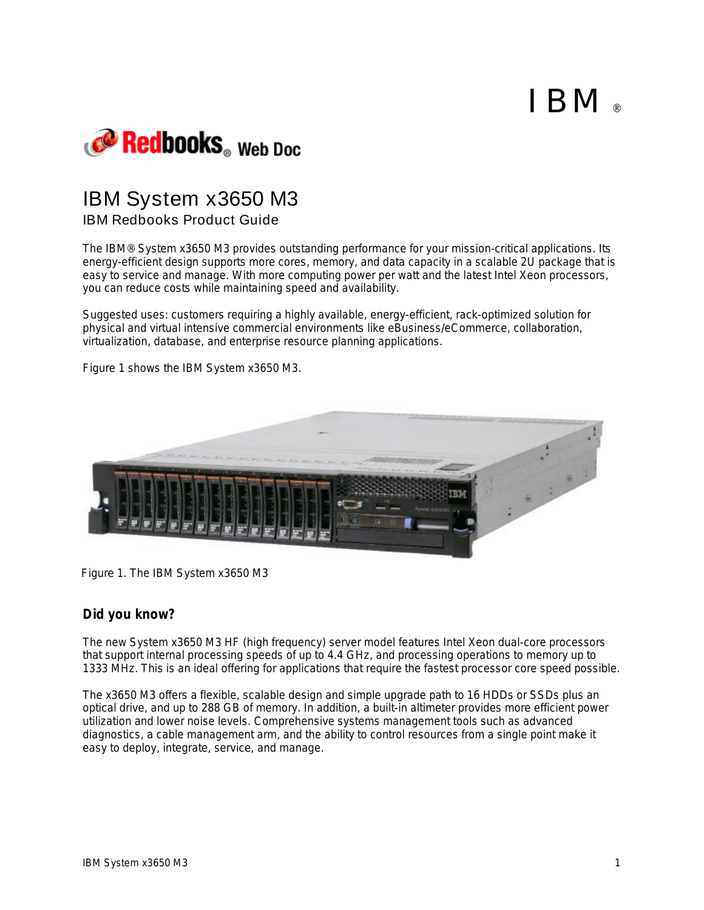

# **IBM System x3650 M3**

### **IBM Redbooks Product Guide**

The IBM® System x3650 M3 provides outstanding performance for your mission-critical applications. Its energy-efficient design supports more cores, memory, and data capacity in a scalable 2U package that is easy to service and manage. With more computing power per watt and the latest Intel Xeon processors, you can reduce costs while maintaining speed and availability.

Suggested uses: customers requiring a highly available, energy-efficient, rack-optimized solution for physical and virtual intensive commercial environments like eBusiness/eCommerce, collaboration, virtualization, database, and enterprise resource planning applications.

Figure 1 shows the IBM System x3650 M3.



Figure 1. The IBM System x3650 M3

#### **Did you know?**

The new System x3650 M3 HF (high frequency) server model features Intel Xeon dual-core processors that support internal processing speeds of up to 4.4 GHz, and processing operations to memory up to 1333 MHz. This is an ideal offering for applications that require the fastest processor core speed possible.

The x3650 M3 offers a flexible, scalable design and simple upgrade path to 16 HDDs or SSDs plus an optical drive, and up to 288 GB of memory. In addition, a built-in altimeter provides more efficient power utilization and lower noise levels. Comprehensive systems management tools such as advanced diagnostics, a cable management arm, and the ability to control resources from a single point make it easy to deploy, integrate, service, and manage.

**I** B  $\theta$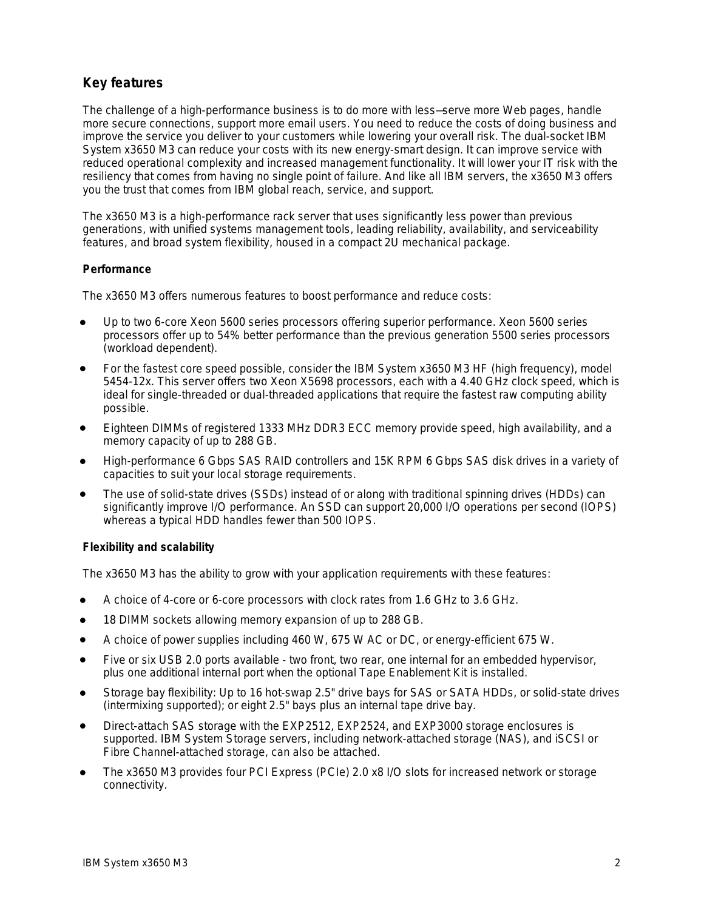#### **Key features**

The challenge of a high-performance business is to do more with less—serve more Web pages, handle more secure connections, support more email users. You need to reduce the costs of doing business and improve the service you deliver to your customers while lowering your overall risk. The dual-socket IBM System x3650 M3 can reduce your costs with its new energy-smart design. It can improve service with reduced operational complexity and increased management functionality. It will lower your IT risk with the resiliency that comes from having no single point of failure. And like all IBM servers, the x3650 M3 offers you the trust that comes from IBM global reach, service, and support.

The x3650 M3 is a high-performance rack server that uses significantly less power than previous generations, with unified systems management tools, leading reliability, availability, and serviceability features, and broad system flexibility, housed in a compact 2U mechanical package.

#### **Performance**

The x3650 M3 offers numerous features to boost performance and reduce costs:

- Up to two 6-core Xeon 5600 series processors offering superior performance. Xeon 5600 series processors offer up to 54% better performance than the previous generation 5500 series processors (workload dependent).
- For the fastest core speed possible, consider the IBM System x3650 M3 HF (high frequency), model 5454-12x. This server offers two Xeon X5698 processors, each with a 4.40 GHz clock speed, which is ideal for single-threaded or dual-threaded applications that require the fastest raw computing ability possible.
- Eighteen DIMMs of registered 1333 MHz DDR3 ECC memory provide speed, high availability, and a memory capacity of up to 288 GB.
- High-performance 6 Gbps SAS RAID controllers and 15K RPM 6 Gbps SAS disk drives in a variety of capacities to suit your local storage requirements.
- The use of solid-state drives (SSDs) instead of or along with traditional spinning drives (HDDs) can significantly improve I/O performance. An SSD can support 20,000 I/O operations per second (IOPS) whereas a typical HDD handles fewer than 500 IOPS.

#### **Flexibility and scalability**

The x3650 M3 has the ability to grow with your application requirements with these features:

- A choice of 4-core or 6-core processors with clock rates from 1.6 GHz to 3.6 GHz.
- 18 DIMM sockets allowing memory expansion of up to 288 GB.
- A choice of power supplies including 460 W, 675 W AC or DC, or energy-efficient 675 W.
- Five or six USB 2.0 ports available two front, two rear, one internal for an embedded hypervisor, plus one additional internal port when the optional Tape Enablement Kit is installed.
- Storage bay flexibility: Up to 16 hot-swap 2.5" drive bays for SAS or SATA HDDs, or solid-state drives (intermixing supported); or eight 2.5" bays plus an internal tape drive bay.
- Direct-attach SAS storage with the EXP2512, EXP2524, and EXP3000 storage enclosures is supported. IBM System Storage servers, including network-attached storage (NAS), and iSCSI or Fibre Channel-attached storage, can also be attached.
- The x3650 M3 provides four PCI Express (PCIe) 2.0 x8 I/O slots for increased network or storage connectivity.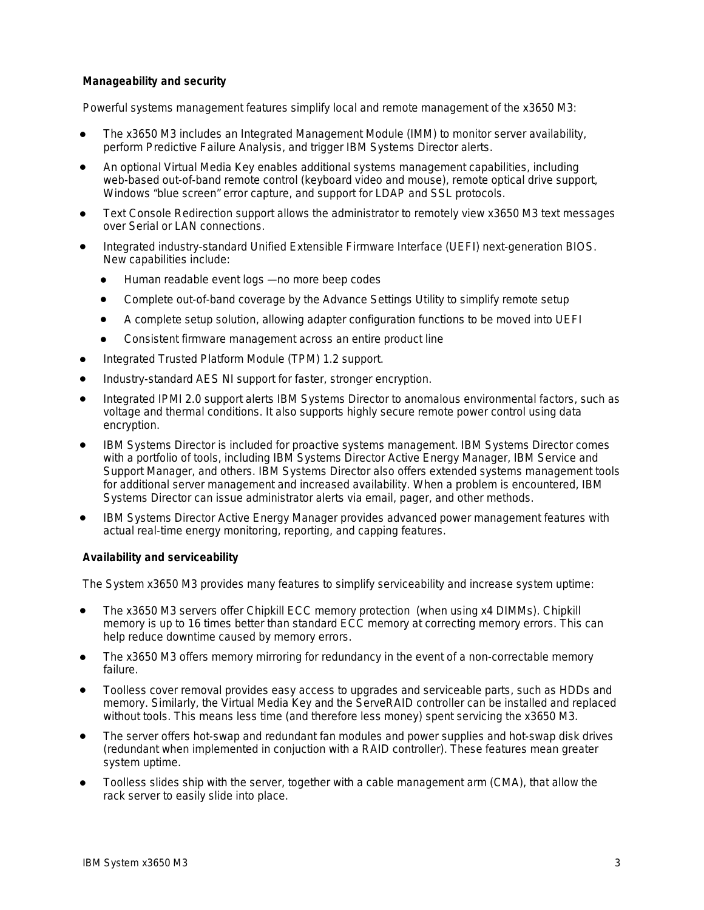#### **Manageability and security**

Powerful systems management features simplify local and remote management of the x3650 M3:

- The x3650 M3 includes an Integrated Management Module (IMM) to monitor server availability, perform Predictive Failure Analysis, and trigger IBM Systems Director alerts.
- An optional Virtual Media Key enables additional systems management capabilities, including web-based out-of-band remote control (keyboard video and mouse), remote optical drive support, Windows "blue screen" error capture, and support for LDAP and SSL protocols.
- Text Console Redirection support allows the administrator to remotely view x3650 M3 text messages over Serial or LAN connections.
- Integrated industry-standard Unified Extensible Firmware Interface (UEFI) next-generation BIOS. New capabilities include:
	- Human readable event logs no more beep codes
	- Complete out-of-band coverage by the Advance Settings Utility to simplify remote setup
	- A complete setup solution, allowing adapter configuration functions to be moved into UEFI
	- Consistent firmware management across an entire product line
- Integrated Trusted Platform Module (TPM) 1.2 support.
- Industry-standard AES NI support for faster, stronger encryption.
- Integrated IPMI 2.0 support alerts IBM Systems Director to anomalous environmental factors, such as voltage and thermal conditions. It also supports highly secure remote power control using data encryption.
- IBM Systems Director is included for proactive systems management. IBM Systems Director comes with a portfolio of tools, including IBM Systems Director Active Energy Manager, IBM Service and Support Manager, and others. IBM Systems Director also offers extended systems management tools for additional server management and increased availability. When a problem is encountered, IBM Systems Director can issue administrator alerts via email, pager, and other methods.
- IBM Systems Director Active Energy Manager provides advanced power management features with actual real-time energy monitoring, reporting, and capping features.

#### **Availability and serviceability**

The System x3650 M3 provides many features to simplify serviceability and increase system uptime:

- The x3650 M3 servers offer Chipkill ECC memory protection (when using x4 DIMMs). Chipkill memory is up to 16 times better than standard ECC memory at correcting memory errors. This can help reduce downtime caused by memory errors.
- The x3650 M3 offers memory mirroring for redundancy in the event of a non-correctable memory failure.
- Toolless cover removal provides easy access to upgrades and serviceable parts, such as HDDs and memory. Similarly, the Virtual Media Key and the ServeRAID controller can be installed and replaced without tools. This means less time (and therefore less money) spent servicing the x3650 M3.
- The server offers hot-swap and redundant fan modules and power supplies and hot-swap disk drives (redundant when implemented in conjuction with a RAID controller). These features mean greater system uptime.
- Toolless slides ship with the server, together with a cable management arm (CMA), that allow the rack server to easily slide into place.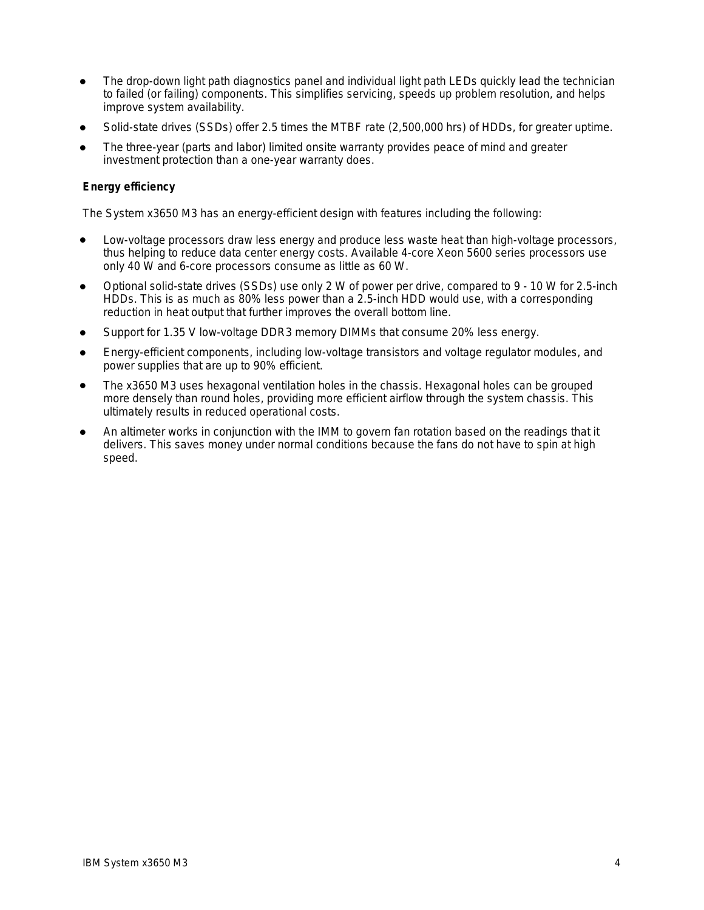- The drop-down light path diagnostics panel and individual light path LEDs quickly lead the technician to failed (or failing) components. This simplifies servicing, speeds up problem resolution, and helps improve system availability.
- Solid-state drives (SSDs) offer 2.5 times the MTBF rate (2,500,000 hrs) of HDDs, for greater uptime.
- The three-year (parts and labor) limited onsite warranty provides peace of mind and greater investment protection than a one-year warranty does.

#### **Energy efficiency**

The System x3650 M3 has an energy-efficient design with features including the following:

- Low-voltage processors draw less energy and produce less waste heat than high-voltage processors, thus helping to reduce data center energy costs. Available 4-core Xeon 5600 series processors use only 40 W and 6-core processors consume as little as 60 W.
- Optional solid-state drives (SSDs) use only 2 W of power per drive, compared to 9 10 W for 2.5-inch HDDs. This is as much as 80% less power than a 2.5-inch HDD would use, with a corresponding reduction in heat output that further improves the overall bottom line.
- Support for 1.35 V low-voltage DDR3 memory DIMMs that consume 20% less energy.
- Energy-efficient components, including low-voltage transistors and voltage regulator modules, and power supplies that are up to 90% efficient.
- The x3650 M3 uses hexagonal ventilation holes in the chassis. Hexagonal holes can be grouped more densely than round holes, providing more efficient airflow through the system chassis. This ultimately results in reduced operational costs.
- An altimeter works in conjunction with the IMM to govern fan rotation based on the readings that it delivers. This saves money under normal conditions because the fans do not have to spin at high speed.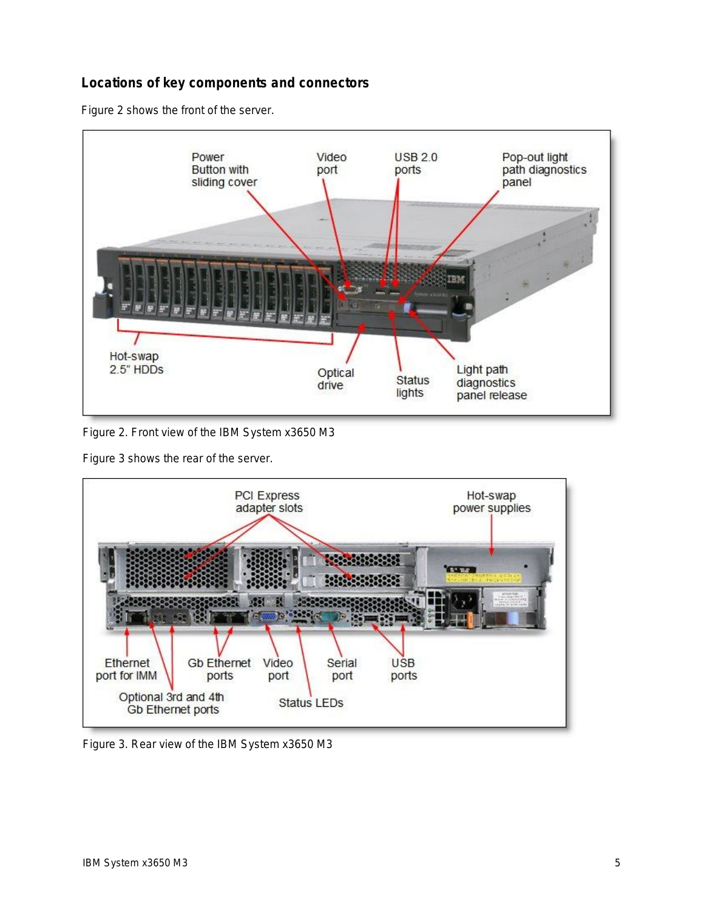### **Locations of key components and connectors**

Figure 2 shows the front of the server.



Figure 2. Front view of the IBM System x3650 M3

Figure 3 shows the rear of the server.



Figure 3. Rear view of the IBM System x3650 M3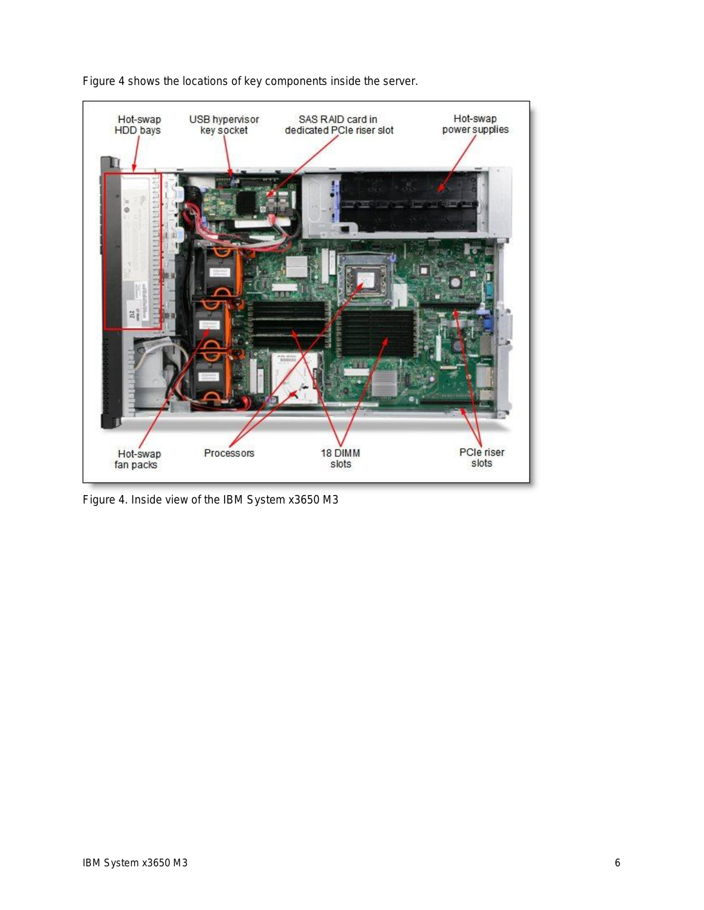

Figure 4 shows the locations of key components inside the server.

Figure 4. Inside view of the IBM System x3650 M3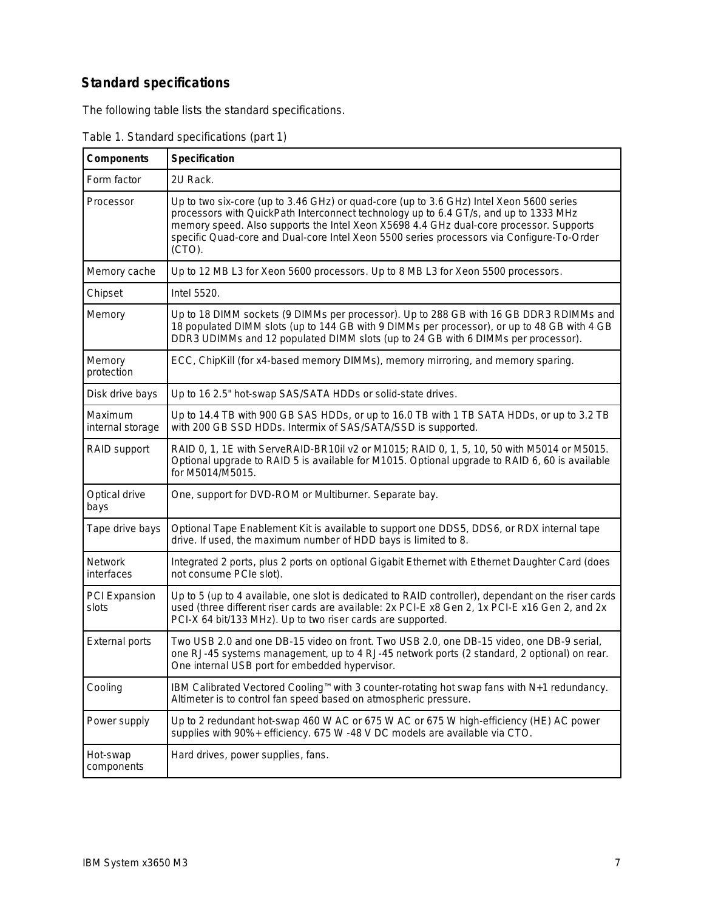# **Standard specifications**

The following table lists the standard specifications.

| <b>Components</b>            | <b>Specification</b>                                                                                                                                                                                                                                                                                                                                                                |
|------------------------------|-------------------------------------------------------------------------------------------------------------------------------------------------------------------------------------------------------------------------------------------------------------------------------------------------------------------------------------------------------------------------------------|
| Form factor                  | 2U Rack.                                                                                                                                                                                                                                                                                                                                                                            |
| Processor                    | Up to two six-core (up to 3.46 GHz) or quad-core (up to 3.6 GHz) Intel Xeon 5600 series<br>processors with QuickPath Interconnect technology up to 6.4 GT/s, and up to 1333 MHz<br>memory speed. Also supports the Intel Xeon X5698 4.4 GHz dual-core processor. Supports<br>specific Quad-core and Dual-core Intel Xeon 5500 series processors via Configure-To-Order<br>$(CTO)$ . |
| Memory cache                 | Up to 12 MB L3 for Xeon 5600 processors. Up to 8 MB L3 for Xeon 5500 processors.                                                                                                                                                                                                                                                                                                    |
| Chipset                      | Intel 5520.                                                                                                                                                                                                                                                                                                                                                                         |
| Memory                       | Up to 18 DIMM sockets (9 DIMMs per processor). Up to 288 GB with 16 GB DDR3 RDIMMs and<br>18 populated DIMM slots (up to 144 GB with 9 DIMMs per processor), or up to 48 GB with 4 GB<br>DDR3 UDIMMs and 12 populated DIMM slots (up to 24 GB with 6 DIMMs per processor).                                                                                                          |
| Memory<br>protection         | ECC, ChipKill (for x4-based memory DIMMs), memory mirroring, and memory sparing.                                                                                                                                                                                                                                                                                                    |
| Disk drive bays              | Up to 16 2.5" hot-swap SAS/SATA HDDs or solid-state drives.                                                                                                                                                                                                                                                                                                                         |
| Maximum<br>internal storage  | Up to 14.4 TB with 900 GB SAS HDDs, or up to 16.0 TB with 1 TB SATA HDDs, or up to 3.2 TB<br>with 200 GB SSD HDDs. Intermix of SAS/SATA/SSD is supported.                                                                                                                                                                                                                           |
| RAID support                 | RAID 0, 1, 1E with ServeRAID-BR10il v2 or M1015; RAID 0, 1, 5, 10, 50 with M5014 or M5015.<br>Optional upgrade to RAID 5 is available for M1015. Optional upgrade to RAID 6, 60 is available<br>for M5014/M5015.                                                                                                                                                                    |
| Optical drive<br>bays        | One, support for DVD-ROM or Multiburner. Separate bay.                                                                                                                                                                                                                                                                                                                              |
| Tape drive bays              | Optional Tape Enablement Kit is available to support one DDS5, DDS6, or RDX internal tape<br>drive. If used, the maximum number of HDD bays is limited to 8.                                                                                                                                                                                                                        |
| <b>Network</b><br>interfaces | Integrated 2 ports, plus 2 ports on optional Gigabit Ethernet with Ethernet Daughter Card (does<br>not consume PCIe slot).                                                                                                                                                                                                                                                          |
| PCI Expansion<br>slots       | Up to 5 (up to 4 available, one slot is dedicated to RAID controller), dependant on the riser cards<br>used (three different riser cards are available: 2x PCI-E x8 Gen 2, 1x PCI-E x16 Gen 2, and 2x<br>PCI-X 64 bit/133 MHz). Up to two riser cards are supported.                                                                                                                |
| <b>External ports</b>        | Two USB 2.0 and one DB-15 video on front. Two USB 2.0, one DB-15 video, one DB-9 serial,<br>one RJ-45 systems management, up to 4 RJ-45 network ports (2 standard, 2 optional) on rear.<br>One internal USB port for embedded hypervisor.                                                                                                                                           |
| Cooling                      | IBM Calibrated Vectored Cooling™ with 3 counter-rotating hot swap fans with N+1 redundancy.<br>Altimeter is to control fan speed based on atmospheric pressure.                                                                                                                                                                                                                     |
| Power supply                 | Up to 2 redundant hot-swap 460 W AC or 675 W AC or 675 W high-efficiency (HE) AC power<br>supplies with 90%+ efficiency. 675 W -48 V DC models are available via CTO.                                                                                                                                                                                                               |
| Hot-swap<br>components       | Hard drives, power supplies, fans.                                                                                                                                                                                                                                                                                                                                                  |

Table 1. Standard specifications (part 1)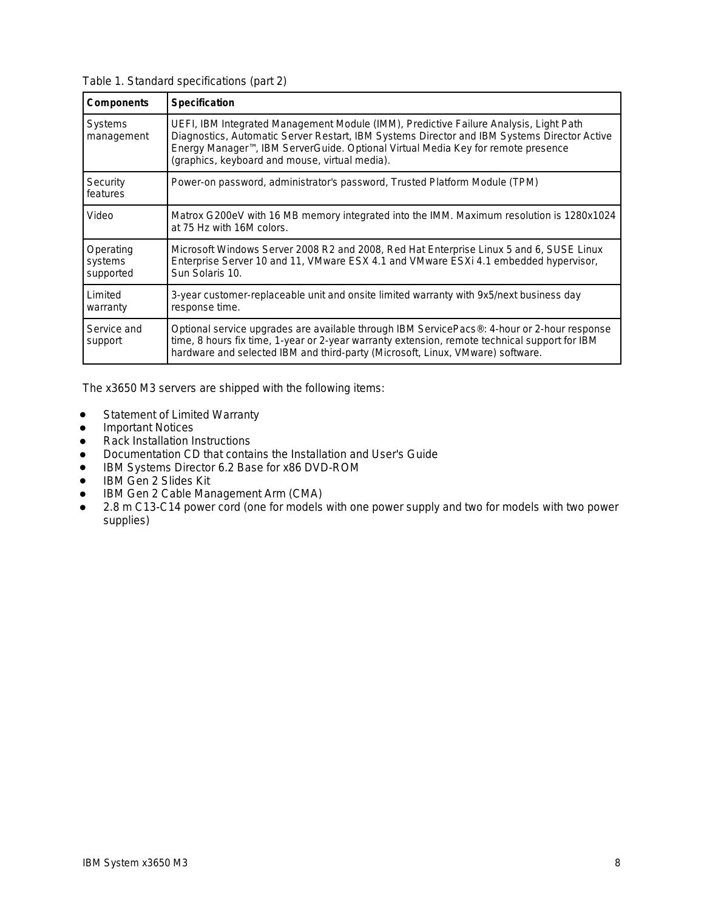| <b>Components</b>                 | <b>Specification</b>                                                                                                                                                                                                                                                                                                                    |
|-----------------------------------|-----------------------------------------------------------------------------------------------------------------------------------------------------------------------------------------------------------------------------------------------------------------------------------------------------------------------------------------|
| Systems<br>management             | UEFI, IBM Integrated Management Module (IMM), Predictive Failure Analysis, Light Path<br>Diagnostics, Automatic Server Restart, IBM Systems Director and IBM Systems Director Active<br>Energy Manager <sup>™</sup> , IBM ServerGuide. Optional Virtual Media Key for remote presence<br>(graphics, keyboard and mouse, virtual media). |
| Security<br>features              | Power-on password, administrator's password, Trusted Platform Module (TPM)                                                                                                                                                                                                                                                              |
| Video                             | Matrox G200eV with 16 MB memory integrated into the IMM. Maximum resolution is 1280x1024<br>at 75 Hz with 16M colors.                                                                                                                                                                                                                   |
| Operating<br>systems<br>supported | Microsoft Windows Server 2008 R2 and 2008, Red Hat Enterprise Linux 5 and 6, SUSE Linux<br>Enterprise Server 10 and 11, VMware ESX 4.1 and VMware ESXi 4.1 embedded hypervisor,<br>Sun Solaris 10.                                                                                                                                      |
| Limited<br>warranty               | 3-year customer-replaceable unit and onsite limited warranty with 9x5/next business day<br>response time.                                                                                                                                                                                                                               |
| Service and<br>support            | Optional service upgrades are available through IBM ServicePacs®: 4-hour or 2-hour response<br>time, 8 hours fix time, 1-year or 2-year warranty extension, remote technical support for IBM<br>hardware and selected IBM and third-party (Microsoft, Linux, VMware) software.                                                          |

Table 1. Standard specifications (part 2)

The x3650 M3 servers are shipped with the following items:

- Statement of Limited Warranty
- **•** Important Notices
- Rack Installation Instructions
- Documentation CD that contains the *Installation and User's Guide*
- IBM Systems Director 6.2 Base for x86 DVD-ROM
- IBM Gen 2 Slides Kit
- IBM Gen 2 Cable Management Arm (CMA)
- 2.8 m C13-C14 power cord (one for models with one power supply and two for models with two power supplies)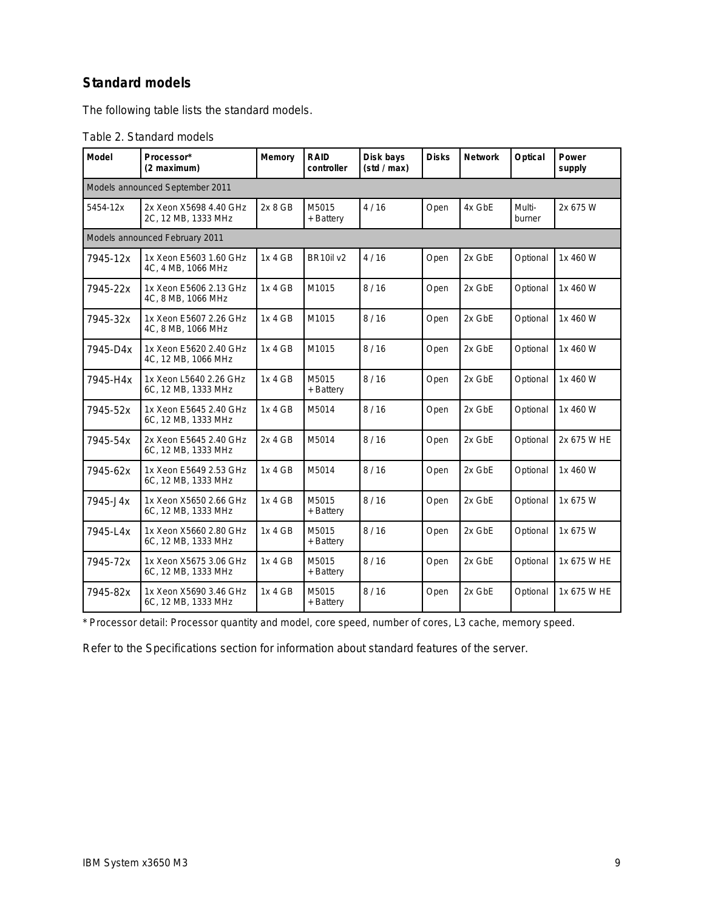# **Standard models**

The following table lists the standard models.

|  | Table 2. Standard models |  |
|--|--------------------------|--|
|--|--------------------------|--|

| <b>Model</b>                   | Processor*<br>(2 maximum)                     | <b>Memory</b> | <b>RAID</b><br>controller | Disk bays<br>(stat / max) | <b>Disks</b> | <b>Network</b> | Optical          | Power<br>supply |
|--------------------------------|-----------------------------------------------|---------------|---------------------------|---------------------------|--------------|----------------|------------------|-----------------|
|                                | Models announced September 2011               |               |                           |                           |              |                |                  |                 |
| 5454-12x                       | 2x Xeon X5698 4.40 GHz<br>2C, 12 MB, 1333 MHz | 2x 8 GB       | M5015<br>+ Battery        | 4/16                      | Open         | 4x GbE         | Multi-<br>burner | 2x 675 W        |
| Models announced February 2011 |                                               |               |                           |                           |              |                |                  |                 |
| 7945-12x                       | 1x Xeon E5603 1.60 GHz<br>4C, 4 MB, 1066 MHz  | 1x 4 GB       | BR10il v2                 | 4/16                      | Open         | 2x GbE         | Optional         | 1x 460 W        |
| 7945-22x                       | 1x Xeon E5606 2.13 GHz<br>4C, 8 MB, 1066 MHz  | 1x 4 GB       | M1015                     | 8/16                      | Open         | 2x GbE         | Optional         | 1x 460 W        |
| 7945-32x                       | 1x Xeon E5607 2.26 GHz<br>4C, 8 MB, 1066 MHz  | 1x 4 GB       | M1015                     | 8/16                      | Open         | 2x GbE         | Optional         | 1x 460 W        |
| 7945-D4x                       | 1x Xeon E5620 2.40 GHz<br>4C, 12 MB, 1066 MHz | 1x 4 GB       | M1015                     | 8/16                      | Open         | 2x GbE         | Optional         | 1x 460 W        |
| 7945-H4x                       | 1x Xeon L5640 2.26 GHz<br>6C, 12 MB, 1333 MHz | 1x 4 GB       | M5015<br>+ Battery        | 8/16                      | Open         | 2x GbE         | Optional         | 1x 460 W        |
| 7945-52x                       | 1x Xeon E5645 2.40 GHz<br>6C, 12 MB, 1333 MHz | 1x 4 GB       | M5014                     | 8/16                      | Open         | 2x GbE         | Optional         | 1x 460 W        |
| 7945-54x                       | 2x Xeon E5645 2.40 GHz<br>6C, 12 MB, 1333 MHz | 2x 4 GB       | M5014                     | 8/16                      | Open         | 2x GbE         | Optional         | 2x 675 W HE     |
| 7945-62x                       | 1x Xeon E5649 2.53 GHz<br>6C, 12 MB, 1333 MHz | 1x 4 GB       | M5014                     | 8/16                      | Open         | 2x GbE         | Optional         | 1x 460 W        |
| 7945-J4x                       | 1x Xeon X5650 2.66 GHz<br>6C, 12 MB, 1333 MHz | 1x 4 GB       | M5015<br>+ Battery        | 8/16                      | Open         | 2x GbE         | Optional         | 1x 675 W        |
| 7945-L4x                       | 1x Xeon X5660 2.80 GHz<br>6C, 12 MB, 1333 MHz | 1x 4 GB       | M5015<br>+ Battery        | 8/16                      | Open         | 2x GbE         | Optional         | 1x 675 W        |
| 7945-72x                       | 1x Xeon X5675 3.06 GHz<br>6C, 12 MB, 1333 MHz | 1x 4 GB       | M5015<br>+ Battery        | 8/16                      | Open         | 2x GbE         | Optional         | 1x 675 W HE     |
| 7945-82x                       | 1x Xeon X5690 3.46 GHz<br>6C, 12 MB, 1333 MHz | 1x 4 GB       | M5015<br>+ Battery        | 8/16                      | Open         | 2x GbE         | Optional         | 1x 675 W HE     |

\* Processor detail: Processor quantity and model, core speed, number of cores, L3 cache, memory speed.

Refer to the Specifications section for information about standard features of the server.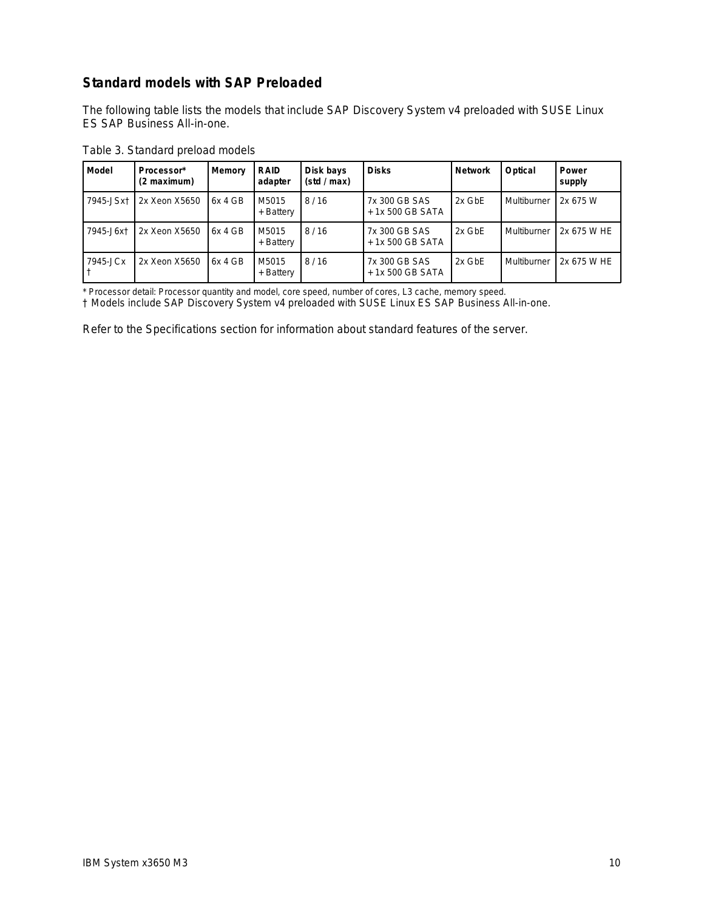#### **Standard models with SAP Preloaded**

The following table lists the models that include SAP Discovery System v4 preloaded with SUSE Linux ES SAP Business All-in-one.

| <b>Model</b> | Processor*<br>(2 maximum) | Memory  | <b>RAID</b><br>adapter | Disk bays<br>(stat / max) | <b>Disks</b>                      | <b>Network</b> | Optical     | <b>Power</b><br>supply |
|--------------|---------------------------|---------|------------------------|---------------------------|-----------------------------------|----------------|-------------|------------------------|
|              | 7945-JSx† 2x Xeon X5650   | 6x 4 GB | M5015<br>+ Battery     | $8/16$                    | 7x 300 GB SAS<br>+ 1x 500 GB SATA | $2x$ GbE       | Multiburner | 2x 675 W               |
| 7945-J6x1    | 2x Xeon X5650             | 6x 4 GB | M5015<br>+ Battery     | 8/16                      | 7x 300 GB SAS<br>+ 1x 500 GB SATA | 2x GbE         | Multiburner | 2x 675 W HE            |
| 7945-JCx     | 2x Xeon X5650             | 6x 4 GB | M5015<br>+ Battery     | 8/16                      | 7x 300 GB SAS<br>+ 1x 500 GB SATA | 2x GbE         | Multiburner | 2x 675 W HE            |

Table 3. Standard preload models

\* Processor detail: Processor quantity and model, core speed, number of cores, L3 cache, memory speed.

† Models include SAP Discovery System v4 preloaded with SUSE Linux ES SAP Business All-in-one.

Refer to the Specifications section for information about standard features of the server.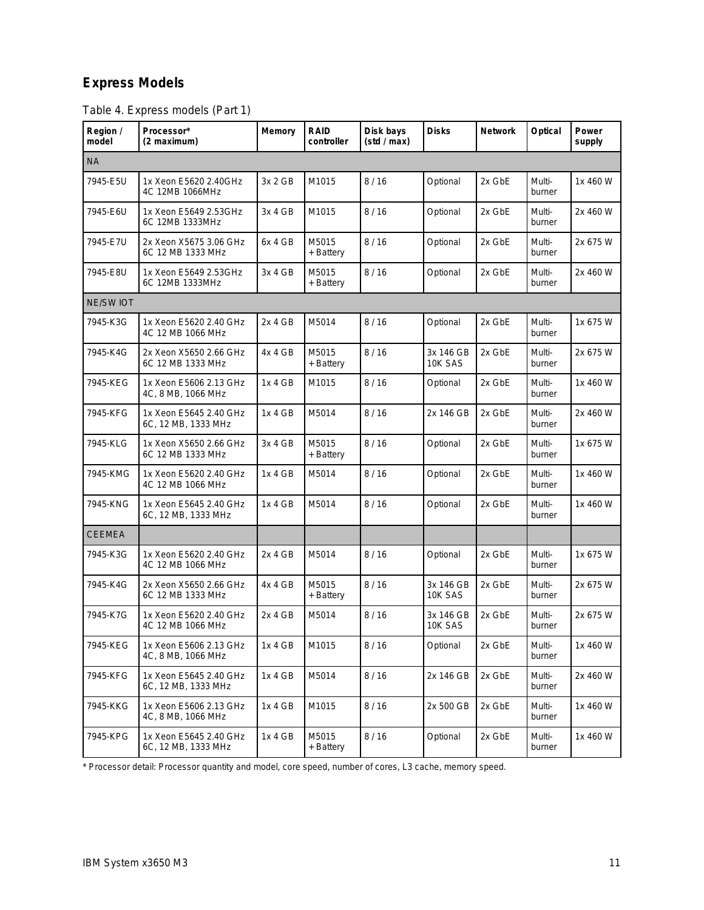# **Express Models**

|  | Table 4. Express models (Part 1) |  |  |  |
|--|----------------------------------|--|--|--|
|--|----------------------------------|--|--|--|

| Region /<br>model | Processor*<br>(2 maximum)                     | Memory  | <b>RAID</b><br>controller | Disk bays<br>(stat / max) | <b>Disks</b>         | <b>Network</b> | Optical          | Power<br>supply |
|-------------------|-----------------------------------------------|---------|---------------------------|---------------------------|----------------------|----------------|------------------|-----------------|
| <b>NA</b>         |                                               |         |                           |                           |                      |                |                  |                 |
| 7945-E5U          | 1x Xeon E5620 2.40GHz<br>4C 12MB 1066MHz      | 3x 2 GB | M1015                     | 8/16                      | Optional             | 2x GbE         | Multi-<br>burner | 1x 460 W        |
| 7945-E6U          | 1x Xeon E5649 2.53GHz<br>6C 12MB 1333MHz      | 3x 4 GB | M1015                     | 8/16                      | Optional             | 2x GbE         | Multi-<br>burner | 2x 460 W        |
| 7945-E7U          | 2x Xeon X5675 3.06 GHz<br>6C 12 MB 1333 MHz   | 6x 4 GB | M5015<br>+ Battery        | 8/16                      | Optional             | 2x GbE         | Multi-<br>burner | 2x 675 W        |
| 7945-E8U          | 1x Xeon E5649 2.53GHz<br>6C 12MB 1333MHz      | 3x 4 GB | M5015<br>+ Battery        | 8/16                      | Optional             | 2x GbE         | Multi-<br>burner | 2x 460 W        |
| <b>NE/SWIOT</b>   |                                               |         |                           |                           |                      |                |                  |                 |
| 7945-K3G          | 1x Xeon E5620 2.40 GHz<br>4C 12 MB 1066 MHz   | 2x 4 GB | M5014                     | 8/16                      | Optional             | 2x GbE         | Multi-<br>burner | 1x 675 W        |
| 7945-K4G          | 2x Xeon X5650 2.66 GHz<br>6C 12 MB 1333 MHz   | 4x 4 GB | M5015<br>+ Battery        | 8/16                      | 3x 146 GB<br>10K SAS | 2x GbE         | Multi-<br>burner | 2x 675 W        |
| 7945-KEG          | 1x Xeon E5606 2.13 GHz<br>4C, 8 MB, 1066 MHz  | 1x 4 GB | M1015                     | 8/16                      | Optional             | 2x GbE         | Multi-<br>burner | 1x 460 W        |
| 7945-KFG          | 1x Xeon E5645 2.40 GHz<br>6C, 12 MB, 1333 MHz | 1x 4 GB | M5014                     | 8/16                      | 2x 146 GB            | 2x GbE         | Multi-<br>burner | 2x 460 W        |
| 7945-KLG          | 1x Xeon X5650 2.66 GHz<br>6C 12 MB 1333 MHz   | 3x 4 GB | M5015<br>+ Battery        | 8/16                      | Optional             | 2x GbE         | Multi-<br>burner | 1x 675 W        |
| 7945-KMG          | 1x Xeon E5620 2.40 GHz<br>4C 12 MB 1066 MHz   | 1x 4 GB | M5014                     | 8/16                      | Optional             | 2x GbE         | Multi-<br>burner | 1x 460 W        |
| 7945-KNG          | 1x Xeon E5645 2.40 GHz<br>6C, 12 MB, 1333 MHz | 1x 4 GB | M5014                     | 8/16                      | Optional             | 2x GbE         | Multi-<br>burner | 1x 460 W        |
| <b>CEEMEA</b>     |                                               |         |                           |                           |                      |                |                  |                 |
| 7945-K3G          | 1x Xeon E5620 2.40 GHz<br>4C 12 MB 1066 MHz   | 2x 4 GB | M5014                     | 8/16                      | Optional             | 2x GbE         | Multi-<br>burner | 1x 675 W        |
| 7945-K4G          | 2x Xeon X5650 2.66 GHz<br>6C 12 MB 1333 MHz   | 4x 4 GB | M5015<br>+ Battery        | 8/16                      | 3x 146 GB<br>10K SAS | 2x GbE         | Multi-<br>burner | 2x 675 W        |
| 7945-K7G          | 1x Xeon E5620 2.40 GHz<br>4C 12 MB 1066 MHz   | 2x 4 GB | M5014                     | 8/16                      | 3x 146 GB<br>10K SAS | 2x GbE         | Multi-<br>burner | 2x 675 W        |
| 7945-KEG          | 1x Xeon E5606 2.13 GHz<br>4C, 8 MB, 1066 MHz  | 1x 4 GB | M1015                     | 8/16                      | Optional             | 2x GbE         | Multi-<br>burner | 1x 460 W        |
| 7945-KFG          | 1x Xeon E5645 2.40 GHz<br>6C, 12 MB, 1333 MHz | 1x 4 GB | M5014                     | 8/16                      | 2x 146 GB            | 2x GbE         | Multi-<br>burner | 2x 460 W        |
| 7945-KKG          | 1x Xeon E5606 2.13 GHz<br>4C, 8 MB, 1066 MHz  | 1x 4 GB | M1015                     | 8/16                      | 2x 500 GB            | 2x GbE         | Multi-<br>burner | 1x 460 W        |
| 7945-KPG          | 1x Xeon E5645 2.40 GHz<br>6C, 12 MB, 1333 MHz | 1x 4 GB | M5015<br>+ Battery        | 8/16                      | Optional             | 2x GbE         | Multi-<br>burner | 1x 460 W        |

\* Processor detail: Processor quantity and model, core speed, number of cores, L3 cache, memory speed.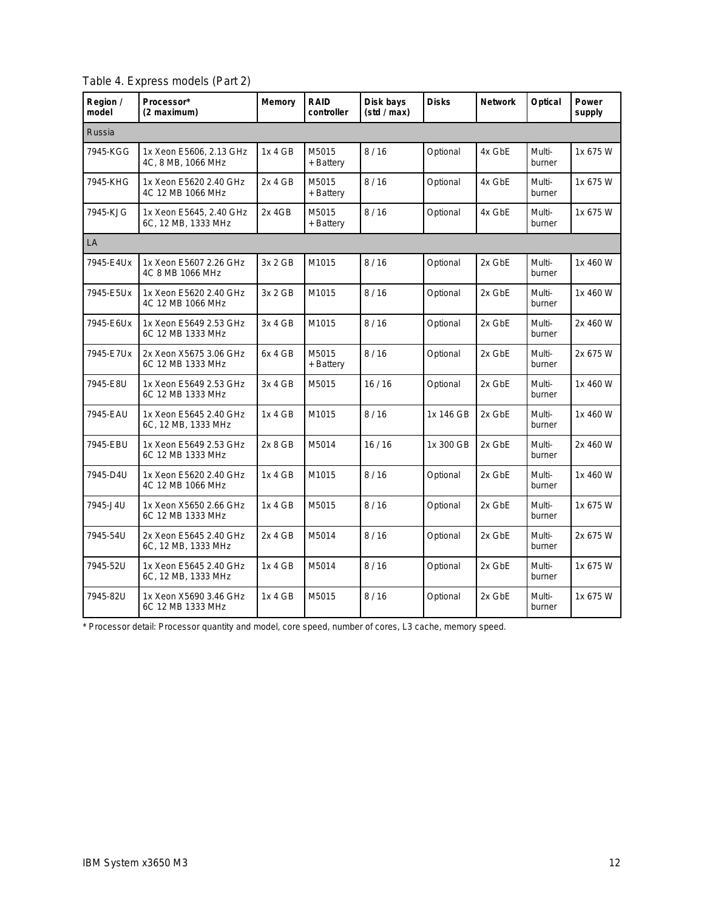| Table 4. Express models (Part 2) |  |  |  |  |
|----------------------------------|--|--|--|--|
|----------------------------------|--|--|--|--|

| Region /<br>model | Processor*<br>(2 maximum)                      | <b>Memory</b> | <b>RAID</b><br>controller | Disk bays<br>(stat / max) | <b>Disks</b> | <b>Network</b> | Optical          | Power<br>supply |
|-------------------|------------------------------------------------|---------------|---------------------------|---------------------------|--------------|----------------|------------------|-----------------|
| <b>Russia</b>     |                                                |               |                           |                           |              |                |                  |                 |
| 7945-KGG          | 1x Xeon E5606, 2.13 GHz<br>4C, 8 MB, 1066 MHz  | 1x 4 GB       | M5015<br>+ Battery        | 8/16                      | Optional     | 4x GbE         | Multi-<br>burner | 1x 675 W        |
| 7945-KHG          | 1x Xeon E5620 2.40 GHz<br>4C 12 MB 1066 MHz    | 2x 4 GB       | M5015<br>+ Battery        | 8/16                      | Optional     | 4x GbE         | Multi-<br>burner | 1x 675 W        |
| 7945-KJG          | 1x Xeon E5645, 2.40 GHz<br>6C, 12 MB, 1333 MHz | 2x 4GB        | M5015<br>+ Battery        | 8/16                      | Optional     | 4x GbE         | Multi-<br>burner | 1x 675 W        |
| LA                |                                                |               |                           |                           |              |                |                  |                 |
| 7945-E4Ux         | 1x Xeon E5607 2.26 GHz<br>4C 8 MB 1066 MHz     | 3x 2 GB       | M1015                     | 8/16                      | Optional     | 2x GbE         | Multi-<br>burner | 1x 460 W        |
| 7945-E5Ux         | 1x Xeon E5620 2.40 GHz<br>4C 12 MB 1066 MHz    | 3x 2 GB       | M1015                     | 8/16                      | Optional     | 2x GbE         | Multi-<br>burner | 1x 460 W        |
| 7945-E6Ux         | 1x Xeon E5649 2.53 GHz<br>6C 12 MB 1333 MHz    | 3x 4 GB       | M1015                     | 8/16                      | Optional     | 2x GbE         | Multi-<br>burner | 2x 460 W        |
| 7945-E7Ux         | 2x Xeon X5675 3.06 GHz<br>6C 12 MB 1333 MHz    | 6x 4 GB       | M5015<br>+ Battery        | 8/16                      | Optional     | 2x GbE         | Multi-<br>burner | 2x 675 W        |
| 7945-E8U          | 1x Xeon E5649 2.53 GHz<br>6C 12 MB 1333 MHz    | 3x 4 GB       | M5015                     | 16/16                     | Optional     | 2x GbE         | Multi-<br>burner | 1x 460 W        |
| 7945-EAU          | 1x Xeon E5645 2.40 GHz<br>6C, 12 MB, 1333 MHz  | 1x 4 GB       | M1015                     | 8/16                      | 1x 146 GB    | 2x GbE         | Multi-<br>burner | 1x 460 W        |
| 7945-EBU          | 1x Xeon E5649 2.53 GHz<br>6C 12 MB 1333 MHz    | 2x 8 GB       | M5014                     | 16/16                     | 1x 300 GB    | 2x GbE         | Multi-<br>burner | 2x 460 W        |
| 7945-D4U          | 1x Xeon E5620 2.40 GHz<br>4C 12 MB 1066 MHz    | 1x 4 GB       | M1015                     | 8/16                      | Optional     | 2x GbE         | Multi-<br>burner | 1x 460 W        |
| 7945-J4U          | 1x Xeon X5650 2.66 GHz<br>6C 12 MB 1333 MHz    | 1x 4 GB       | M5015                     | 8/16                      | Optional     | 2x GbE         | Multi-<br>burner | 1x 675 W        |
| 7945-54U          | 2x Xeon E5645 2.40 GHz<br>6C, 12 MB, 1333 MHz  | 2x 4 GB       | M5014                     | 8/16                      | Optional     | 2x GbE         | Multi-<br>burner | 2x 675 W        |
| 7945-52U          | 1x Xeon E5645 2.40 GHz<br>6C, 12 MB, 1333 MHz  | 1x 4 GB       | M5014                     | 8/16                      | Optional     | 2x GbE         | Multi-<br>burner | 1x 675 W        |
| 7945-82U          | 1x Xeon X5690 3.46 GHz<br>6C 12 MB 1333 MHz    | 1x 4 GB       | M5015                     | 8/16                      | Optional     | 2x GbE         | Multi-<br>burner | 1x 675 W        |

\* Processor detail: Processor quantity and model, core speed, number of cores, L3 cache, memory speed.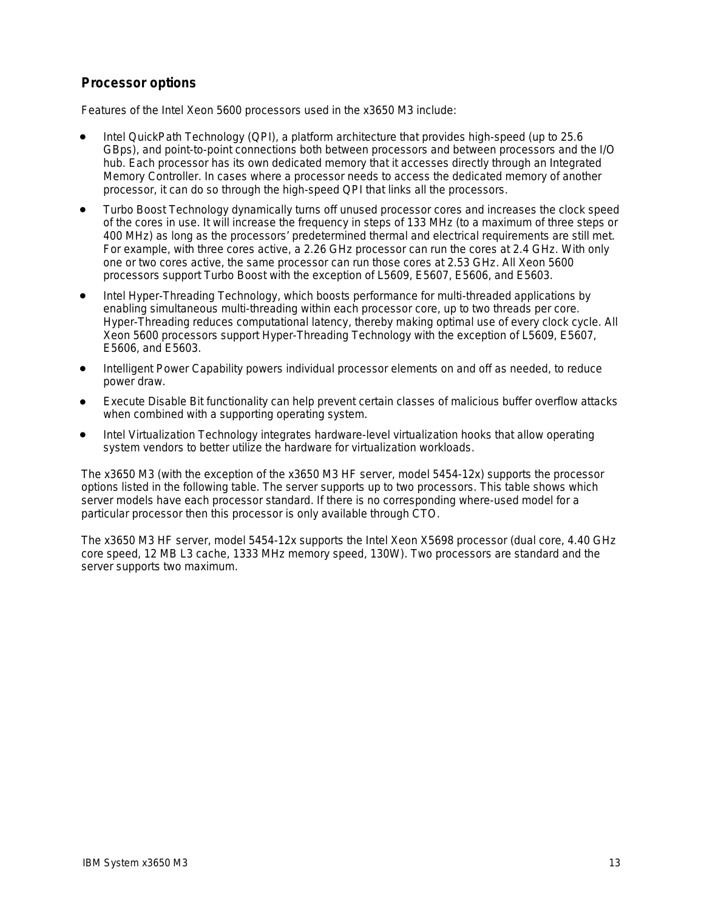#### **Processor options**

Features of the Intel Xeon 5600 processors used in the x3650 M3 include:

- Intel QuickPath Technology (QPI), a platform architecture that provides high-speed (up to 25.6 GBps), and point-to-point connections both between processors and between processors and the I/O hub. Each processor has its own dedicated memory that it accesses directly through an Integrated Memory Controller. In cases where a processor needs to access the dedicated memory of another processor, it can do so through the high-speed QPI that links all the processors.
- Turbo Boost Technology dynamically turns off unused processor cores and increases the clock speed of the cores in use. It will increase the frequency in steps of 133 MHz (to a maximum of three steps or 400 MHz) as long as the processors' predetermined thermal and electrical requirements are still met. For example, with three cores active, a 2.26 GHz processor can run the cores at 2.4 GHz. With only one or two cores active, the same processor can run those cores at 2.53 GHz. All Xeon 5600 processors support Turbo Boost with the exception of L5609, E5607, E5606, and E5603.
- Intel Hyper-Threading Technology, which boosts performance for multi-threaded applications by enabling simultaneous multi-threading within each processor core, up to two threads per core. Hyper-Threading reduces computational latency, thereby making optimal use of every clock cycle. All Xeon 5600 processors support Hyper-Threading Technology with the exception of L5609, E5607, E5606, and E5603.
- Intelligent Power Capability powers individual processor elements on and off as needed, to reduce power draw.
- Execute Disable Bit functionality can help prevent certain classes of malicious buffer overflow attacks when combined with a supporting operating system.
- Intel Virtualization Technology integrates hardware-level virtualization hooks that allow operating system vendors to better utilize the hardware for virtualization workloads.

The x3650 M3 (with the exception of the x3650 M3 HF server, model 5454-12x) supports the processor options listed in the following table. The server supports up to two processors. This table shows which server models have each processor standard. If there is no corresponding *where-used* model for a particular processor then this processor is only available through CTO.

The x3650 M3 HF server, model 5454-12x supports the Intel Xeon X5698 processor (dual core, 4.40 GHz core speed, 12 MB L3 cache, 1333 MHz memory speed, 130W). Two processors are standard and the server supports two maximum.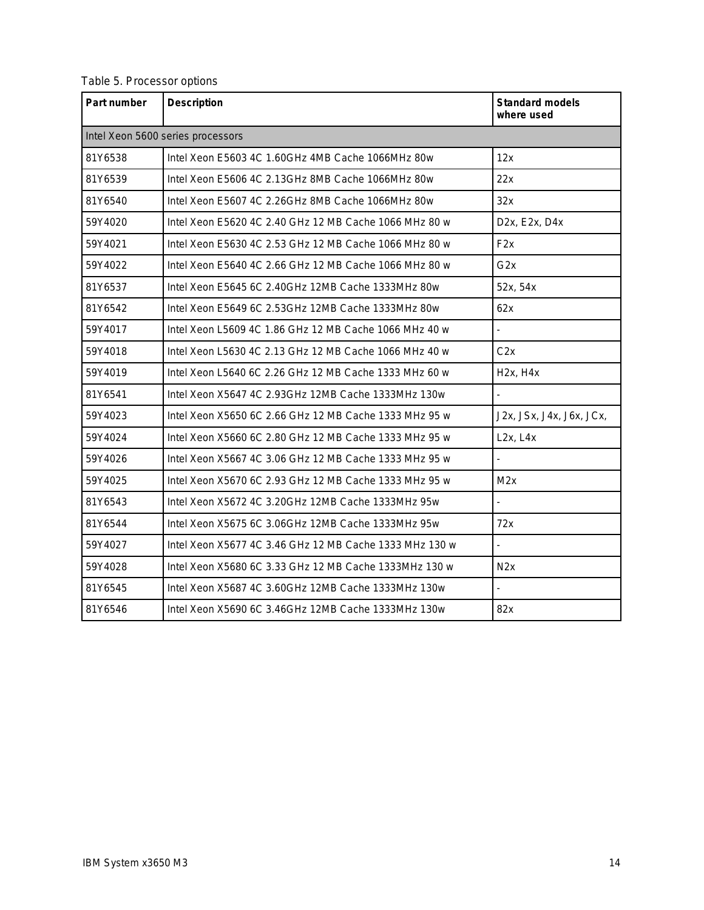| Table 5. Processor options |  |  |
|----------------------------|--|--|
|----------------------------|--|--|

| Part number | <b>Description</b>                                      | <b>Standard models</b><br>where used                |
|-------------|---------------------------------------------------------|-----------------------------------------------------|
|             | Intel Xeon 5600 series processors                       |                                                     |
| 81Y6538     | Intel Xeon E5603 4C 1.60GHz 4MB Cache 1066MHz 80w       | 12x                                                 |
| 81Y6539     | Intel Xeon E5606 4C 2.13GHz 8MB Cache 1066MHz 80w       | 22x                                                 |
| 81Y6540     | Intel Xeon E5607 4C 2.26GHz 8MB Cache 1066MHz 80w       | 32x                                                 |
| 59Y4020     | Intel Xeon E5620 4C 2.40 GHz 12 MB Cache 1066 MHz 80 w  | D <sub>2x</sub> , E <sub>2x</sub> , D <sub>4x</sub> |
| 59Y4021     | Intel Xeon E5630 4C 2.53 GHz 12 MB Cache 1066 MHz 80 w  | F <sub>2x</sub>                                     |
| 59Y4022     | Intel Xeon E5640 4C 2.66 GHz 12 MB Cache 1066 MHz 80 w  | G <sub>2x</sub>                                     |
| 81Y6537     | Intel Xeon E5645 6C 2.40GHz 12MB Cache 1333MHz 80w      | 52x, 54x                                            |
| 81Y6542     | Intel Xeon E5649 6C 2.53GHz 12MB Cache 1333MHz 80w      | 62x                                                 |
| 59Y4017     | Intel Xeon L5609 4C 1.86 GHz 12 MB Cache 1066 MHz 40 w  |                                                     |
| 59Y4018     | Intel Xeon L5630 4C 2.13 GHz 12 MB Cache 1066 MHz 40 w  | C2x                                                 |
| 59Y4019     | Intel Xeon L5640 6C 2.26 GHz 12 MB Cache 1333 MHz 60 w  | H <sub>2x</sub> , H <sub>4x</sub>                   |
| 81Y6541     | Intel Xeon X5647 4C 2.93GHz 12MB Cache 1333MHz 130w     |                                                     |
| 59Y4023     | Intel Xeon X5650 6C 2.66 GHz 12 MB Cache 1333 MHz 95 w  | J2x, JSx, J4x, J6x, JCx,                            |
| 59Y4024     | Intel Xeon X5660 6C 2.80 GHz 12 MB Cache 1333 MHz 95 w  | L2x, L4x                                            |
| 59Y4026     | Intel Xeon X5667 4C 3.06 GHz 12 MB Cache 1333 MHz 95 w  |                                                     |
| 59Y4025     | Intel Xeon X5670 6C 2.93 GHz 12 MB Cache 1333 MHz 95 w  | M2x                                                 |
| 81Y6543     | Intel Xeon X5672 4C 3.20GHz 12MB Cache 1333MHz 95w      | $\overline{a}$                                      |
| 81Y6544     | Intel Xeon X5675 6C 3.06GHz 12MB Cache 1333MHz 95w      | 72x                                                 |
| 59Y4027     | Intel Xeon X5677 4C 3.46 GHz 12 MB Cache 1333 MHz 130 w | $\overline{a}$                                      |
| 59Y4028     | Intel Xeon X5680 6C 3.33 GHz 12 MB Cache 1333MHz 130 w  | N2x                                                 |
| 81Y6545     | Intel Xeon X5687 4C 3.60GHz 12MB Cache 1333MHz 130w     | ÷,                                                  |
| 81Y6546     | Intel Xeon X5690 6C 3.46GHz 12MB Cache 1333MHz 130w     | 82x                                                 |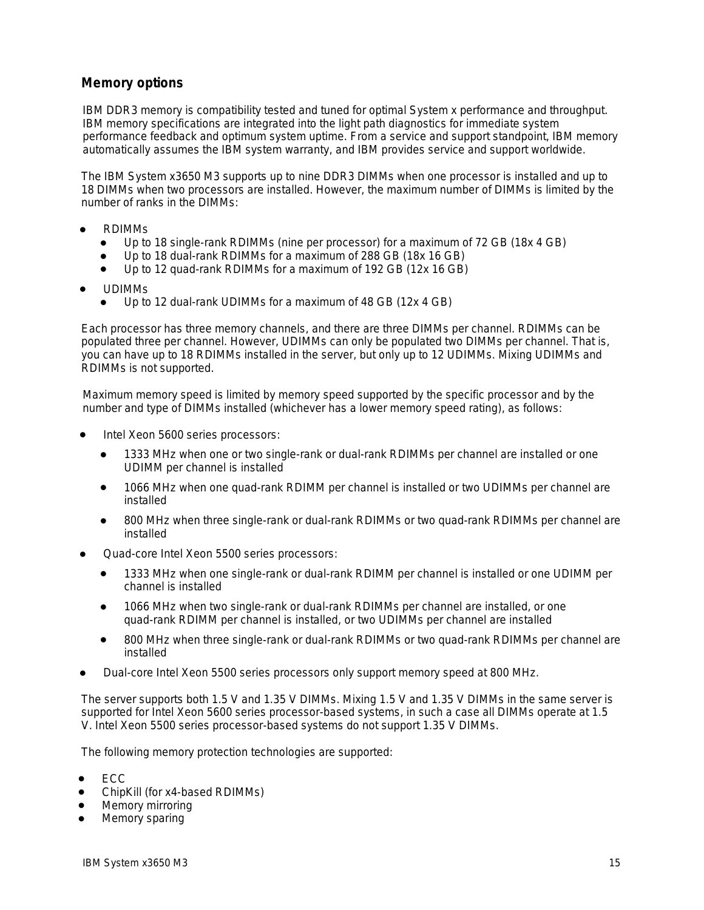#### **Memory options**

IBM DDR3 memory is compatibility tested and tuned for optimal System x performance and throughput. IBM memory specifications are integrated into the light path diagnostics for immediate system performance feedback and optimum system uptime. From a service and support standpoint, IBM memory automatically assumes the IBM system warranty, and IBM provides service and support worldwide.

The IBM System x3650 M3 supports up to nine DDR3 DIMMs when one processor is installed and up to 18 DIMMs when two processors are installed. However, the maximum number of DIMMs is limited by the number of ranks in the DIMMs:

- RDIMMs
	- Up to 18 single-rank RDIMMs (nine per processor) for a maximum of 72 GB (18x 4 GB)
	- Up to 18 dual-rank RDIMMs for a maximum of 288 GB (18x 16 GB)
	- Up to 12 quad-rank RDIMMs for a maximum of 192 GB (12x 16 GB)
- UDIMMs
	- Up to 12 dual-rank UDIMMs for a maximum of 48 GB (12x 4 GB)

Each processor has three memory channels, and there are three DIMMs per channel. RDIMMs can be populated three per channel. However, UDIMMs can only be populated two DIMMs per channel. That is, you can have up to 18 RDIMMs installed in the server, but only up to 12 UDIMMs. Mixing UDIMMs and RDIMMs is not supported.

Maximum memory speed is limited by memory speed supported by the specific processor and by the number and type of DIMMs installed (whichever has a lower memory speed rating), as follows:

- Intel Xeon 5600 series processors:
	- 1333 MHz when one or two single-rank or dual-rank RDIMMs per channel are installed or one UDIMM per channel is installed
	- 1066 MHz when one quad-rank RDIMM per channel is installed or two UDIMMs per channel are installed
	- 800 MHz when three single-rank or dual-rank RDIMMs or two quad-rank RDIMMs per channel are installed
- Quad-core Intel Xeon 5500 series processors:
	- 1333 MHz when one single-rank or dual-rank RDIMM per channel is installed or one UDIMM per channel is installed
	- 1066 MHz when two single-rank or dual-rank RDIMMs per channel are installed, or one quad-rank RDIMM per channel is installed, or two UDIMMs per channel are installed
	- 800 MHz when three single-rank or dual-rank RDIMMs or two quad-rank RDIMMs per channel are installed
- Dual-core Intel Xeon 5500 series processors only support memory speed at 800 MHz.

The server supports both 1.5 V and 1.35 V DIMMs. Mixing 1.5 V and 1.35 V DIMMs in the same server is supported for Intel Xeon 5600 series processor-based systems, in such a case all DIMMs operate at 1.5 V. Intel Xeon 5500 series processor-based systems do not support 1.35 V DIMMs.

The following memory protection technologies are supported:

- ECC
- ChipKill (for x4-based RDIMMs)
- Memory mirroring
- Memory sparing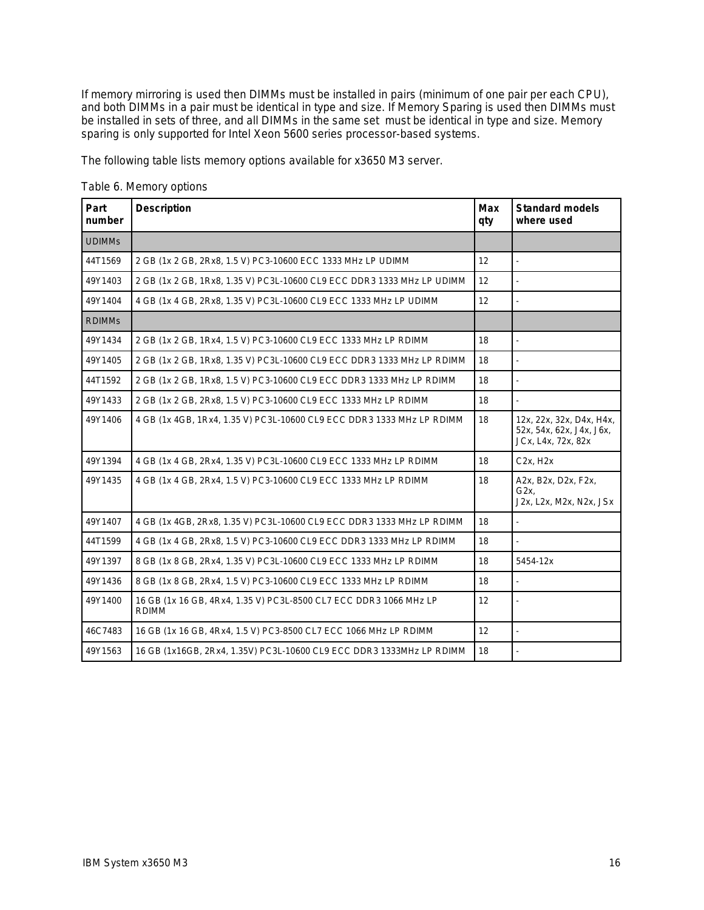If memory mirroring is used then DIMMs must be installed in pairs (minimum of one pair per each CPU), and both DIMMs in a pair must be identical in type and size. If Memory Sparing is used then DIMMs must be installed in sets of three, and all DIMMs in the same set must be identical in type and size. Memory sparing is only supported for Intel Xeon 5600 series processor-based systems.

The following table lists memory options available for x3650 M3 server.

| Part<br>number | <b>Description</b>                                                                | Max<br>qty | <b>Standard models</b><br>where used                                       |
|----------------|-----------------------------------------------------------------------------------|------------|----------------------------------------------------------------------------|
| <b>UDIMMS</b>  |                                                                                   |            |                                                                            |
| 44T1569        | 2 GB (1x 2 GB, 2Rx8, 1.5 V) PC3-10600 ECC 1333 MHz LP UDIMM                       | 12         | $\blacksquare$                                                             |
| 49Y1403        | 2 GB (1x 2 GB, 1Rx8, 1.35 V) PC3L-10600 CL9 ECC DDR3 1333 MHz LP UDIMM            | 12         |                                                                            |
| 49Y1404        | 4 GB (1x 4 GB, 2Rx8, 1.35 V) PC3L-10600 CL9 ECC 1333 MHz LP UDIMM                 | 12         |                                                                            |
| <b>RDIMMS</b>  |                                                                                   |            |                                                                            |
| 49Y1434        | 2 GB (1x 2 GB, 1Rx4, 1.5 V) PC3-10600 CL9 ECC 1333 MHz LP RDIMM                   | 18         | L.                                                                         |
| 49Y1405        | 2 GB (1x 2 GB, 1Rx8, 1.35 V) PC3L-10600 CL9 ECC DDR3 1333 MHz LP RDIMM            | 18         | $\mathbf{r}$                                                               |
| 44T1592        | 2 GB (1x 2 GB, 1Rx8, 1.5 V) PC3-10600 CL9 ECC DDR3 1333 MHz LP RDIMM              | 18         |                                                                            |
| 49Y1433        | 2 GB (1x 2 GB, 2Rx8, 1.5 V) PC3-10600 CL9 ECC 1333 MHz LP RDIMM                   | 18         |                                                                            |
| 49Y1406        | 4 GB (1x 4GB, 1Rx4, 1.35 V) PC3L-10600 CL9 ECC DDR3 1333 MHz LP RDIMM             | 18         | 12x, 22x, 32x, D4x, H4x,<br>52x, 54x, 62x, J4x, J6x,<br>JCx, L4x, 72x, 82x |
| 49Y1394        | 4 GB (1x 4 GB, 2Rx4, 1.35 V) PC3L-10600 CL9 ECC 1333 MHz LP RDIMM                 | 18         | C2x. H2x                                                                   |
| 49Y1435        | 4 GB (1x 4 GB, 2Rx4, 1.5 V) PC3-10600 CL9 ECC 1333 MHz LP RDIMM                   | 18         | A2x, B2x, D2x, F2x,<br>$G2x$ .<br>J2x, L2x, M2x, N2x, JSx                  |
| 49Y1407        | 4 GB (1x 4GB, 2Rx8, 1.35 V) PC3L-10600 CL9 ECC DDR3 1333 MHz LP RDIMM             | 18         | L.                                                                         |
| 44T1599        | 4 GB (1x 4 GB, 2Rx8, 1.5 V) PC3-10600 CL9 ECC DDR3 1333 MHz LP RDIMM              | 18         |                                                                            |
| 49Y1397        | 8 GB (1x 8 GB, 2Rx4, 1.35 V) PC3L-10600 CL9 ECC 1333 MHz LP RDIMM                 | 18         | 5454-12x                                                                   |
| 49Y1436        | 8 GB (1x 8 GB, 2Rx4, 1.5 V) PC3-10600 CL9 ECC 1333 MHz LP RDIMM                   | 18         |                                                                            |
| 49Y1400        | 16 GB (1x 16 GB, 4Rx4, 1.35 V) PC3L-8500 CL7 ECC DDR3 1066 MHz LP<br><b>RDIMM</b> | 12         |                                                                            |
| 46C7483        | 16 GB (1x 16 GB, 4Rx4, 1.5 V) PC3-8500 CL7 ECC 1066 MHz LP RDIMM                  | 12         |                                                                            |
| 49Y1563        | 16 GB (1x16GB, 2Rx4, 1.35V) PC3L-10600 CL9 ECC DDR3 1333MHz LP RDIMM              | 18         |                                                                            |

Table 6. Memory options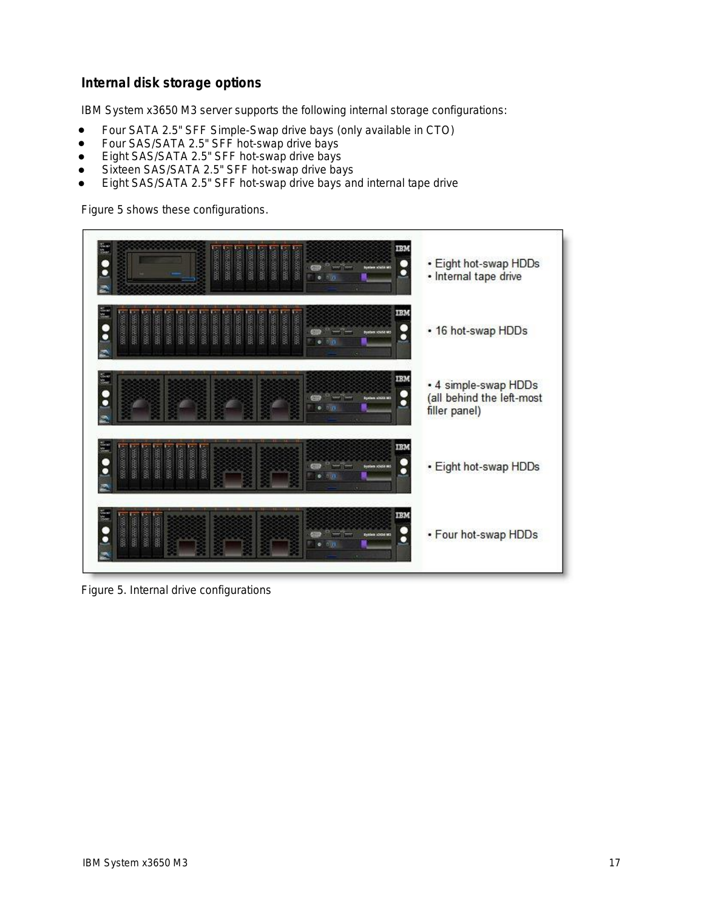#### **Internal disk storage options**

IBM System x3650 M3 server supports the following internal storage configurations:

- Four SATA 2.5" SFF Simple-Swap drive bays (only available in CTO)
- Four SAS/SATA 2.5" SFF hot-swap drive bays
- Eight SAS/SATA 2.5" SFF hot-swap drive bays
- Sixteen SAS/SATA 2.5" SFF hot-swap drive bays
- Eight SAS/SATA 2.5" SFF hot-swap drive bays and internal tape drive

Figure 5 shows these configurations.



Figure 5. Internal drive configurations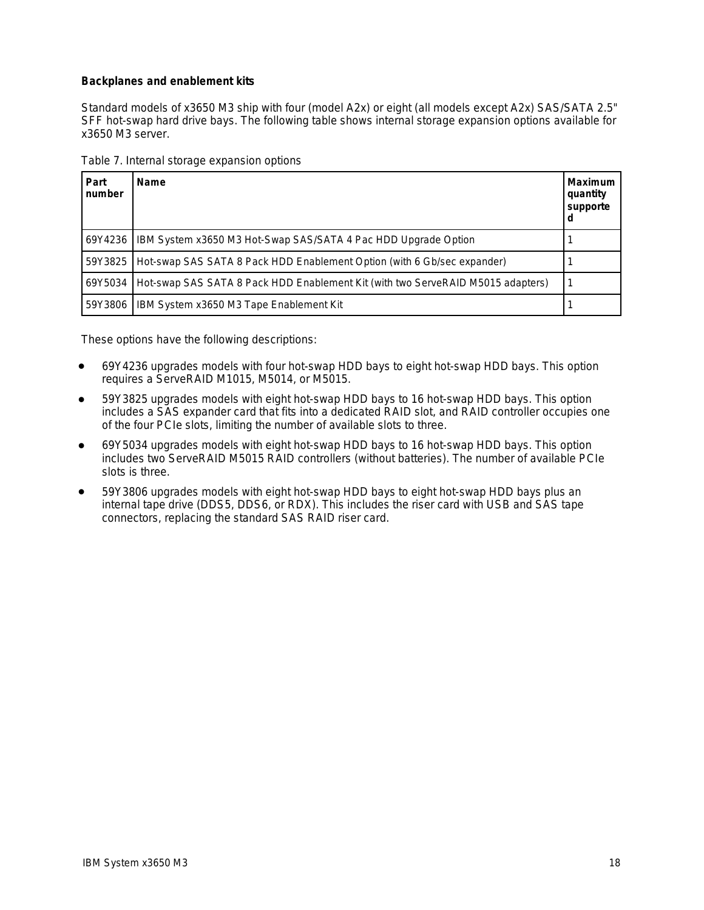#### **Backplanes and enablement kits**

Standard models of x3650 M3 ship with four (model A2x) or eight (all models except A2x) SAS/SATA 2.5" SFF hot-swap hard drive bays. The following table shows internal storage expansion options available for x3650 M3 server.

| Table 7. Internal storage expansion options |
|---------------------------------------------|
|---------------------------------------------|

| Part<br>number | <b>Name</b>                                                                     | <b>Maximum</b><br>quantity<br>supporte |
|----------------|---------------------------------------------------------------------------------|----------------------------------------|
| 69Y4236        | IBM System x3650 M3 Hot-Swap SAS/SATA 4 Pac HDD Upgrade Option                  |                                        |
| 59Y3825        | Hot-swap SAS SATA 8 Pack HDD Enablement Option (with 6 Gb/sec expander)         |                                        |
| 69Y5034        | Hot-swap SAS SATA 8 Pack HDD Enablement Kit (with two ServeRAID M5015 adapters) |                                        |
| 59Y3806        | IBM System x3650 M3 Tape Enablement Kit                                         |                                        |

These options have the following descriptions:

- 69Y4236 upgrades models with four hot-swap HDD bays to eight hot-swap HDD bays. This option requires a ServeRAID M1015, M5014, or M5015.
- 59Y3825 upgrades models with eight hot-swap HDD bays to 16 hot-swap HDD bays. This option includes a SAS expander card that fits into a dedicated RAID slot, and RAID controller occupies one of the four PCIe slots, limiting the number of available slots to three.
- 69Y5034 upgrades models with eight hot-swap HDD bays to 16 hot-swap HDD bays. This option includes two ServeRAID M5015 RAID controllers (without batteries). The number of available PCIe slots is three.
- 59Y3806 upgrades models with eight hot-swap HDD bays to eight hot-swap HDD bays plus an internal tape drive (DDS5, DDS6, or RDX). This includes the riser card with USB and SAS tape connectors, replacing the standard SAS RAID riser card.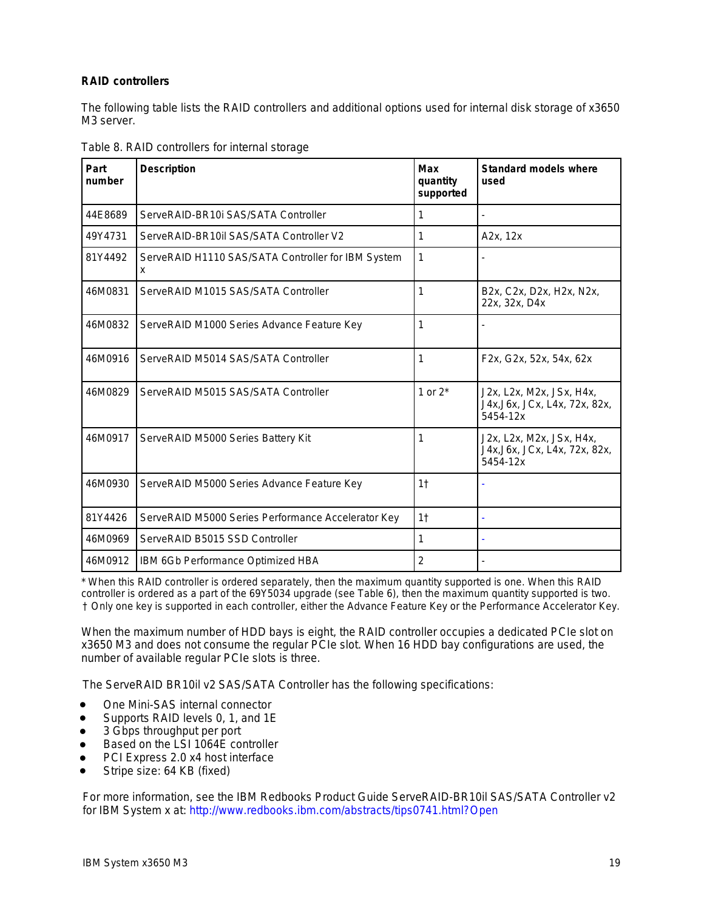#### **RAID controllers**

The following table lists the RAID controllers and additional options used for internal disk storage of x3650 M3 server.

| Part<br>number | <b>Description</b>                                      | Max<br>quantity<br>supported | <b>Standard models where</b><br>used                                                                     |
|----------------|---------------------------------------------------------|------------------------------|----------------------------------------------------------------------------------------------------------|
| 44E8689        | ServeRAID-BR10i SAS/SATA Controller                     | 1                            |                                                                                                          |
| 49Y4731        | ServeRAID-BR10il SAS/SATA Controller V2                 | 1                            | A2x, 12x                                                                                                 |
| 81Y4492        | ServeRAID H1110 SAS/SATA Controller for IBM System<br>x | $\mathbf{1}$                 |                                                                                                          |
| 46M0831        | ServeRAID M1015 SAS/SATA Controller                     | 1                            | B <sub>2x</sub> , C <sub>2x</sub> , D <sub>2x</sub> , H <sub>2x</sub> , N <sub>2x</sub><br>22x, 32x, D4x |
| 46M0832        | ServeRAID M1000 Series Advance Feature Key              | 1                            |                                                                                                          |
| 46M0916        | ServeRAID M5014 SAS/SATA Controller                     | 1                            | F2x, G2x, 52x, 54x, 62x                                                                                  |
| 46M0829        | ServeRAID M5015 SAS/SATA Controller                     | 1 or $2^*$                   | J2x, L2x, M2x, JSx, H4x,<br>J4x, J6x, JCx, L4x, 72x, 8.<br>5454-12x                                      |
| 46M0917        | ServeRAID M5000 Series Battery Kit                      | 1                            | J2x, L2x, M2x, JSx, H4x,<br>J4x, J6x, JCx, L4x, 72x, 8.<br>5454-12x                                      |
| 46M0930        | ServeRAID M5000 Series Advance Feature Key              | 1 <sup>†</sup>               |                                                                                                          |
| 81Y4426        | ServeRAID M5000 Series Performance Accelerator Key      | 1 <sup>†</sup>               |                                                                                                          |
| 46M0969        | ServeRAID B5015 SSD Controller                          | 1                            |                                                                                                          |
| 46M0912        | IBM 6Gb Performance Optimized HBA                       | $\overline{2}$               |                                                                                                          |

|  | Table 8. RAID controllers for internal storage |  |  |
|--|------------------------------------------------|--|--|
|  |                                                |  |  |

\* When this RAID controller is ordered separately, then the maximum quantity supported is one. When this RAID controller is ordered as a part of the 69Y5034 upgrade (see Table 6), then the maximum quantity supported is two. † Only one key is supported in each controller, either the Advance Feature Key or the Performance Accelerator Key.

When the maximum number of HDD bays is eight, the RAID controller occupies a dedicated PCIe slot on x3650 M3 and does not consume the regular PCIe slot. When 16 HDD bay configurations are used, the number of available regular PCIe slots is three.

The ServeRAID BR10il v2 SAS/SATA Controller has the following specifications:

- One Mini-SAS internal connector
- Supports RAID levels 0, 1, and 1E
- 3 Gbps throughput per port
- Based on the LSI 1064E controller
- PCI Express 2.0 x4 host interface
- Stripe size: 64 KB (fixed)

For more information, see the IBM Redbooks Product Guide *ServeRAID-BR10il SAS/SATA Controller v2 for IBM System x* at: <http://www.redbooks.ibm.com/abstracts/tips0741.html?Open>

 $82x$ .

 $82x$ .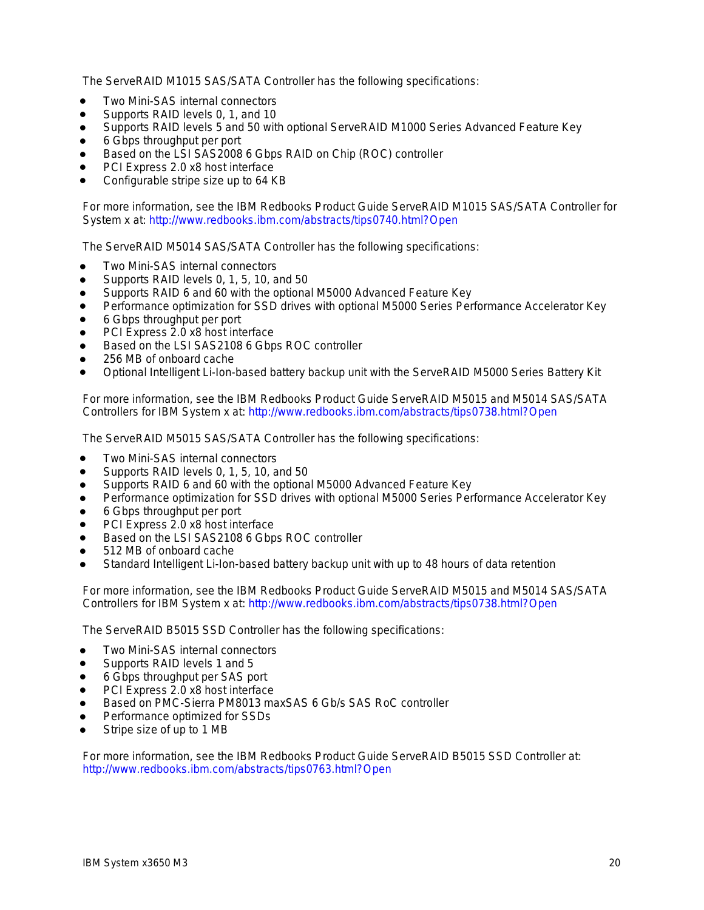The ServeRAID M1015 SAS/SATA Controller has the following specifications:

- Two Mini-SAS internal connectors
- Supports RAID levels 0, 1, and 10
- Supports RAID levels 5 and 50 with optional ServeRAID M1000 Series Advanced Feature Key
- 6 Gbps throughput per port
- Based on the LSI SAS2008 6 Gbps RAID on Chip (ROC) controller
- PCI Express 2.0 x8 host interface
- Configurable stripe size up to 64 KB

For more information, see the IBM Redbooks Product Guide *ServeRAID M1015 SAS/SATA Controller for System x* at: <http://www.redbooks.ibm.com/abstracts/tips0740.html?Open>

The ServeRAID M5014 SAS/SATA Controller has the following specifications:

- Two Mini-SAS internal connectors
- Supports RAID levels 0, 1, 5, 10, and 50
- Supports RAID 6 and 60 with the optional M5000 Advanced Feature Key
- Performance optimization for SSD drives with optional M5000 Series Performance Accelerator Key
- 6 Gbps throughput per port
- PCI Express 2.0 x8 host interface
- Based on the LSI SAS2108 6 Gbps ROC controller
- 256 MB of onboard cache
- Optional Intelligent Li-Ion-based battery backup unit with the ServeRAID M5000 Series Battery Kit

For more information, see the IBM Redbooks Product Guide *ServeRAID M5015 and M5014 SAS/SATA Controllers for IBM System x* at: <http://www.redbooks.ibm.com/abstracts/tips0738.html?Open>

The ServeRAID M5015 SAS/SATA Controller has the following specifications:

- Two Mini-SAS internal connectors
- Supports RAID levels 0, 1, 5, 10, and 50
- Supports RAID 6 and 60 with the optional M5000 Advanced Feature Key
- Performance optimization for SSD drives with optional M5000 Series Performance Accelerator Key
- 6 Gbps throughput per port
- PCI Express 2.0 x8 host interface
- Based on the LSI SAS2108 6 Gbps ROC controller
- 512 MB of onboard cache
- Standard Intelligent Li-Ion-based battery backup unit with up to 48 hours of data retention

For more information, see the IBM Redbooks Product Guide *ServeRAID M5015 and M5014 SAS/SATA Controllers for IBM System x* at: <http://www.redbooks.ibm.com/abstracts/tips0738.html?Open>

The ServeRAID B5015 SSD Controller has the following specifications:

- Two Mini-SAS internal connectors
- Supports RAID levels 1 and 5
- 6 Gbps throughput per SAS port
- PCI Express 2.0 x8 host interface
- Based on PMC-Sierra PM8013 maxSAS 6 Gb/s SAS RoC controller
- Performance optimized for SSDs
- Stripe size of up to 1 MB

For more information, see the IBM Redbooks Product Guide *ServeRAID B5015 SSD Controller* at: <http://www.redbooks.ibm.com/abstracts/tips0763.html?Open>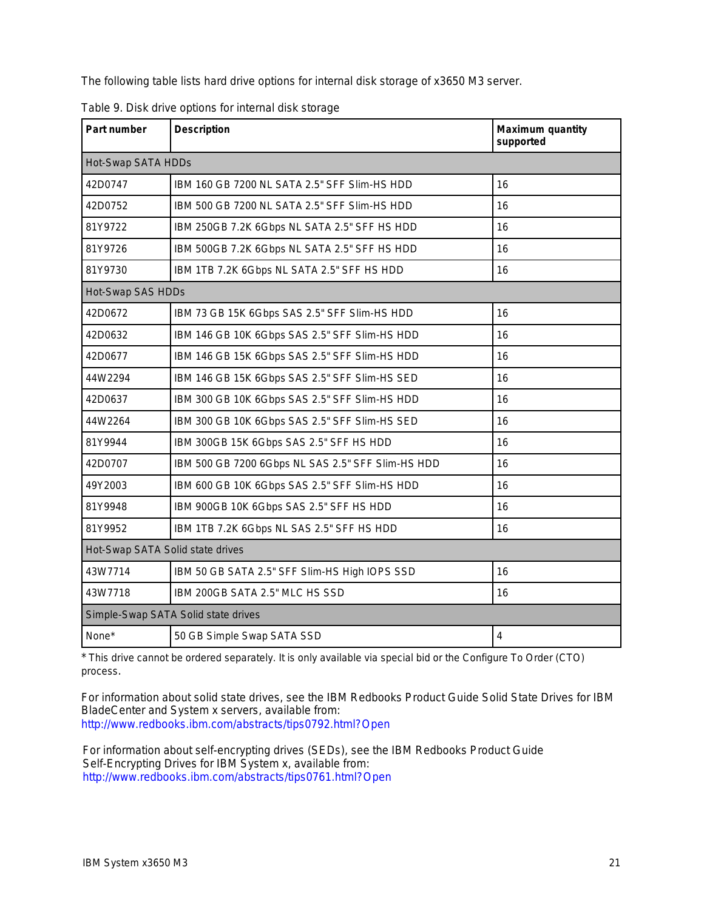The following table lists hard drive options for internal disk storage of x3650 M3 server.

| Part number                         | <b>Description</b>                                | <b>Maximum quantity</b><br>supported |  |  |  |
|-------------------------------------|---------------------------------------------------|--------------------------------------|--|--|--|
|                                     | Hot-Swap SATA HDDs                                |                                      |  |  |  |
| 42D0747                             | IBM 160 GB 7200 NL SATA 2.5" SFF Slim-HS HDD      | 16                                   |  |  |  |
| 42D0752                             | IBM 500 GB 7200 NL SATA 2.5" SFF Slim-HS HDD      | 16                                   |  |  |  |
| 81Y9722                             | IBM 250GB 7.2K 6Gbps NL SATA 2.5" SFF HS HDD      | 16                                   |  |  |  |
| 81Y9726                             | IBM 500GB 7.2K 6Gbps NL SATA 2.5" SFF HS HDD      | 16                                   |  |  |  |
| 81Y9730                             | IBM 1TB 7.2K 6Gbps NL SATA 2.5" SFF HS HDD        | 16                                   |  |  |  |
| Hot-Swap SAS HDDs                   |                                                   |                                      |  |  |  |
| 42D0672                             | IBM 73 GB 15K 6Gbps SAS 2.5" SFF Slim-HS HDD      | 16                                   |  |  |  |
| 42D0632                             | IBM 146 GB 10K 6Gbps SAS 2.5" SFF Slim-HS HDD     | 16                                   |  |  |  |
| 42D0677                             | IBM 146 GB 15K 6Gbps SAS 2.5" SFF Slim-HS HDD     | 16                                   |  |  |  |
| 44W2294                             | IBM 146 GB 15K 6Gbps SAS 2.5" SFF Slim-HS SED     | 16                                   |  |  |  |
| 42D0637                             | IBM 300 GB 10K 6Gbps SAS 2.5" SFF Slim-HS HDD     | 16                                   |  |  |  |
| 44W2264                             | IBM 300 GB 10K 6Gbps SAS 2.5" SFF Slim-HS SED     | 16                                   |  |  |  |
| 81Y9944                             | IBM 300GB 15K 6Gbps SAS 2.5" SFF HS HDD           | 16                                   |  |  |  |
| 42D0707                             | IBM 500 GB 7200 6Gbps NL SAS 2.5" SFF Slim-HS HDD | 16                                   |  |  |  |
| 49Y2003                             | IBM 600 GB 10K 6Gbps SAS 2.5" SFF Slim-HS HDD     | 16                                   |  |  |  |
| 81Y9948                             | IBM 900GB 10K 6Gbps SAS 2.5" SFF HS HDD           | 16                                   |  |  |  |
| 81Y9952                             | IBM 1TB 7.2K 6Gbps NL SAS 2.5" SFF HS HDD         | 16                                   |  |  |  |
| Hot-Swap SATA Solid state drives    |                                                   |                                      |  |  |  |
| 43W7714                             | IBM 50 GB SATA 2.5" SFF Slim-HS High IOPS SSD     | 16                                   |  |  |  |
| 43W7718                             | IBM 200GB SATA 2.5" MLC HS SSD                    | 16                                   |  |  |  |
| Simple-Swap SATA Solid state drives |                                                   |                                      |  |  |  |
| None*                               | 50 GB Simple Swap SATA SSD                        | 4                                    |  |  |  |

Table 9. Disk drive options for internal disk storage

\* This drive cannot be ordered separately. It is only available via special bid or the Configure To Order (CTO) process.

For information about solid state drives, see the IBM Redbooks Product Guide *Solid State Drives for IBM BladeCenter and System x servers*, available from: <http://www.redbooks.ibm.com/abstracts/tips0792.html?Open>

For information about self-encrypting drives (SEDs), see the IBM Redbooks Product Guide *Self-Encrypting Drives for IBM System x*, available from: <http://www.redbooks.ibm.com/abstracts/tips0761.html?Open>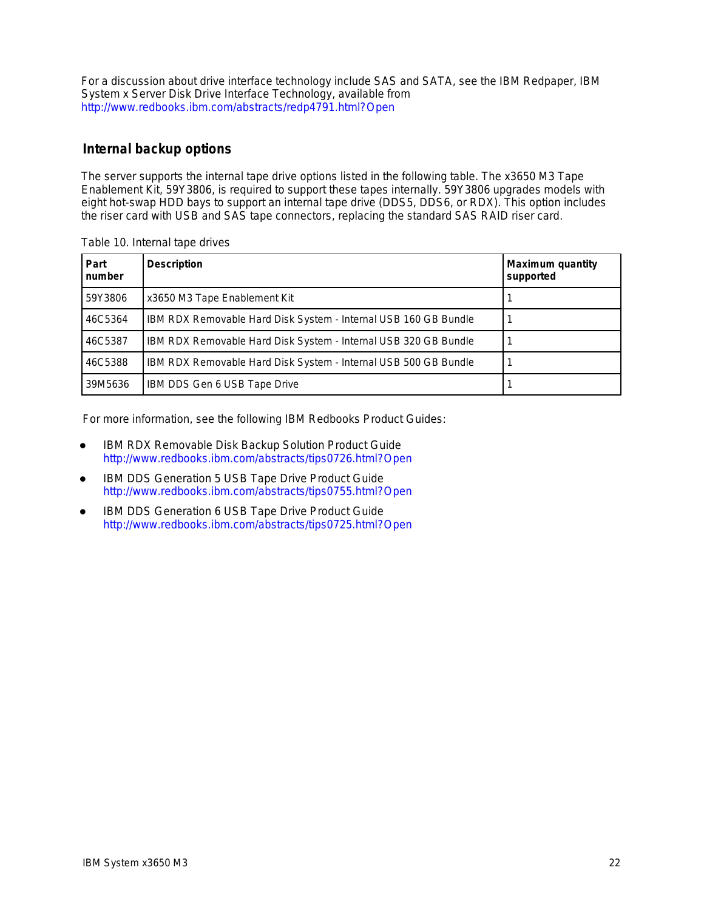For a discussion about drive interface technology include SAS and SATA, see the IBM Redpaper, *IBM System x Server Disk Drive Interface Technology*, available from <http://www.redbooks.ibm.com/abstracts/redp4791.html?Open>

#### **Internal backup options**

The server supports the internal tape drive options listed in the following table. The x3650 M3 Tape Enablement Kit, 59Y3806, is required to support these tapes internally. 59Y3806 upgrades models with eight hot-swap HDD bays to support an internal tape drive (DDS5, DDS6, or RDX). This option includes the riser card with USB and SAS tape connectors, replacing the standard SAS RAID riser card.

| Part<br>number | <b>Description</b>                                              | <b>Maximum quantity</b><br>supported |
|----------------|-----------------------------------------------------------------|--------------------------------------|
| 59Y3806        | x3650 M3 Tape Enablement Kit                                    |                                      |
| 46C5364        | IBM RDX Removable Hard Disk System - Internal USB 160 GB Bundle |                                      |
| 46C5387        | IBM RDX Removable Hard Disk System - Internal USB 320 GB Bundle |                                      |
| 46C5388        | IBM RDX Removable Hard Disk System - Internal USB 500 GB Bundle |                                      |
| 39M5636        | IBM DDS Gen 6 USB Tape Drive                                    |                                      |

Table 10. Internal tape drives

For more information, see the following IBM Redbooks Product Guides:

- *IBM RDX Removable Disk Backup Solution Product Guide* <http://www.redbooks.ibm.com/abstracts/tips0726.html?Open>
- *IBM DDS Generation 5 USB Tape Drive Product Guide* <http://www.redbooks.ibm.com/abstracts/tips0755.html?Open>
- *IBM DDS Generation 6 USB Tape Drive Product Guide* <http://www.redbooks.ibm.com/abstracts/tips0725.html?Open>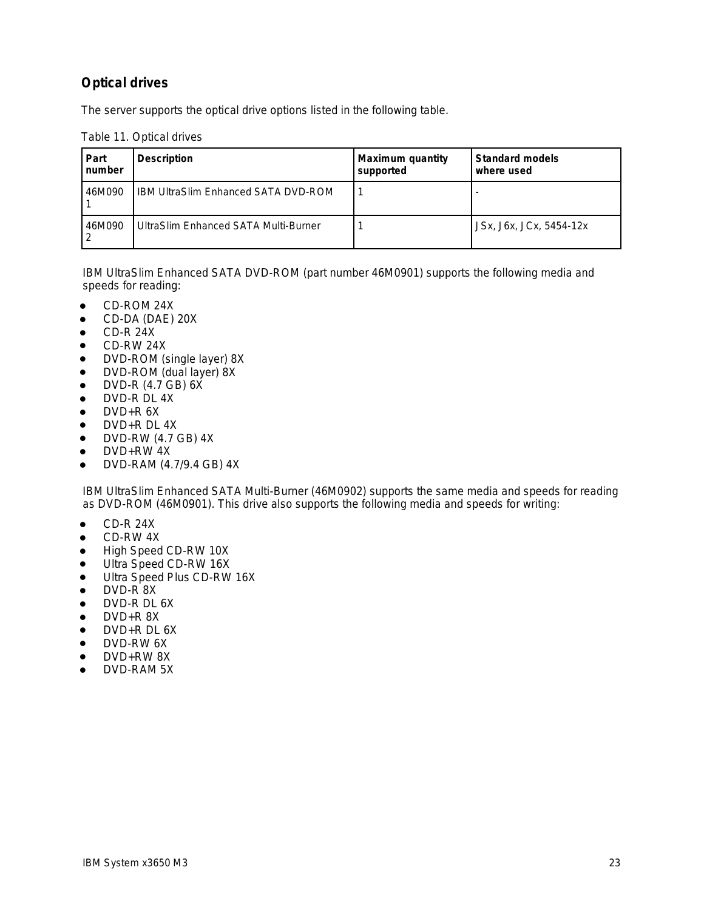## **Optical drives**

The server supports the optical drive options listed in the following table.

| Table 11. Optical drives |  |  |
|--------------------------|--|--|
|--------------------------|--|--|

| Part<br>number | <b>Description</b>                         | Maximum quantity<br>supported | <b>Standard models</b><br>where used |
|----------------|--------------------------------------------|-------------------------------|--------------------------------------|
| 46M090         | <b>IBM UltraSlim Enhanced SATA DVD-ROM</b> |                               |                                      |
| 46M090         | UltraSlim Enhanced SATA Multi-Burner       |                               | JSx, J6x, JCx, 5454-12x              |

IBM UltraSlim Enhanced SATA DVD-ROM (part number 46M0901) supports the following media and speeds for reading:

- CD-ROM 24X
- CD-DA (DAE) 20X
- $\bullet$  CD-R 24X
- CD-RW 24X
- DVD-ROM (single layer) 8X
- DVD-ROM (dual layer) 8X
- DVD-R (4.7 GB) 6X
- DVD-R DL 4X
- DVD+R 6X
- DVD+R DL 4X
- $\bullet$  DVD-RW (4.7 GB) 4X
- DVD+RW 4X
- DVD-RAM (4.7/9.4 GB) 4X

IBM UltraSlim Enhanced SATA Multi-Burner (46M0902) supports the same media and speeds for reading as DVD-ROM (46M0901). This drive also supports the following media and speeds for writing:

- CD-R 24X
- CD-RW 4X
- High Speed CD-RW 10X
- Ultra Speed CD-RW 16X
- Ultra Speed Plus CD-RW 16X
- **DVD-R 8X**
- DVD-R DL 6X
- $\bullet$  DVD+R 8X
- DVD+R DL 6X
- DVD-RW 6X
- DVD+RW 8X
- DVD-RAM 5X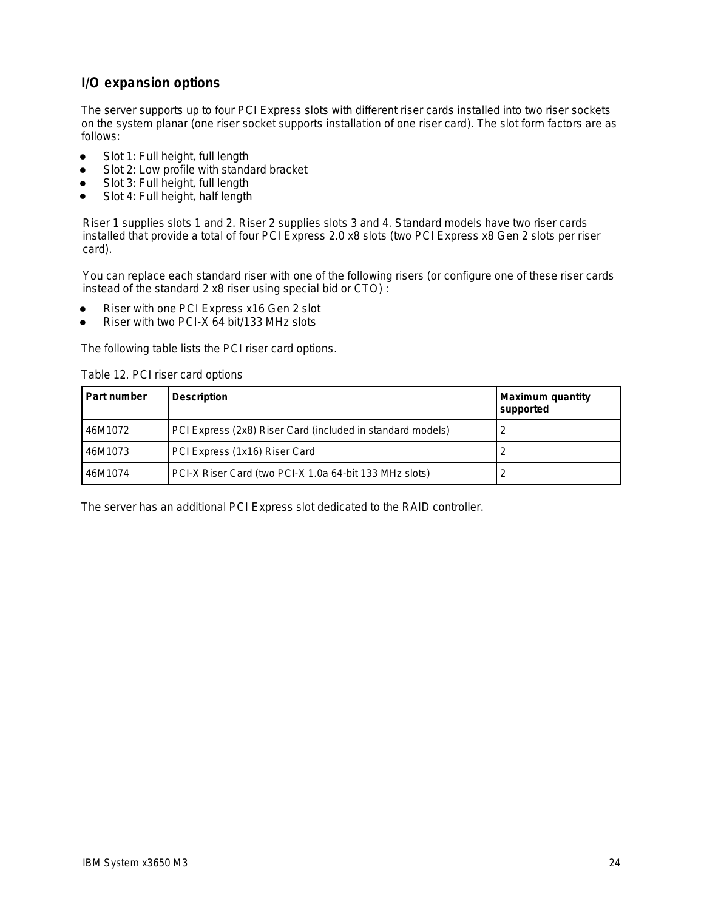#### **I/O expansion options**

The server supports up to four PCI Express slots with different riser cards installed into two riser sockets on the system planar (one riser socket supports installation of one riser card). The slot form factors are as follows:

- Slot 1: Full height, full length
- Slot 2: Low profile with standard bracket
- Slot 3: Full height, full length
- Slot 4: Full height, half length

Riser 1 supplies slots 1 and 2. Riser 2 supplies slots 3 and 4. Standard models have two riser cards installed that provide a total of four PCI Express 2.0 x8 slots (two PCI Express x8 Gen 2 slots per riser card).

You can replace each standard riser with one of the following risers (or configure one of these riser cards instead of the standard 2 x8 riser using special bid or CTO) :

- Riser with one PCI Express x16 Gen 2 slot
- Riser with two PCI-X 64 bit/133 MHz slots

The following table lists the PCI riser card options.

| l Part number | <b>Description</b>                                         | <b>Maximum quantity</b><br>supported |
|---------------|------------------------------------------------------------|--------------------------------------|
| 46M1072       | PCI Express (2x8) Riser Card (included in standard models) |                                      |
| 46M1073       | PCI Express (1x16) Riser Card                              |                                      |
| 46M1074       | PCI-X Riser Card (two PCI-X 1.0a 64-bit 133 MHz slots)     |                                      |

Table 12. PCI riser card options

The server has an additional PCI Express slot dedicated to the RAID controller.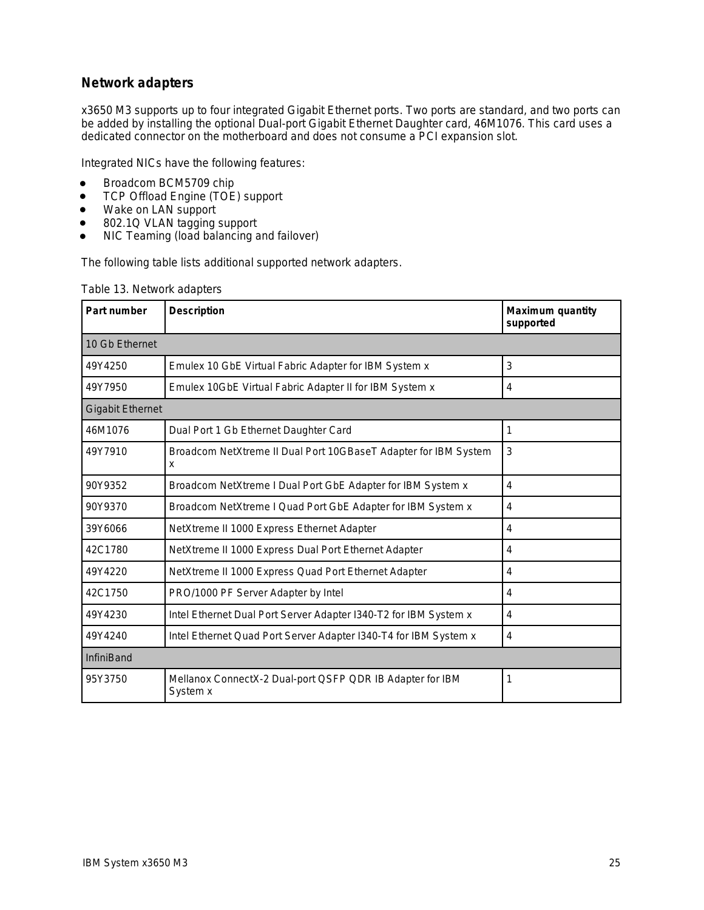#### **Network adapters**

x3650 M3 supports up to four integrated Gigabit Ethernet ports. Two ports are standard, and two ports can be added by installing the optional Dual-port Gigabit Ethernet Daughter card, 46M1076. This card uses a dedicated connector on the motherboard and does not consume a PCI expansion slot.

Integrated NICs have the following features:

- Broadcom BCM5709 chip
- TCP Offload Engine (TOE) support
- Wake on LAN support
- 802.1Q VLAN tagging support
- NIC Teaming (load balancing and failover)

The following table lists additional supported network adapters.

| Part number             | <b>Description</b>                                                    | <b>Maximum quantity</b><br>supported |
|-------------------------|-----------------------------------------------------------------------|--------------------------------------|
| 10 Gb Ethernet          |                                                                       |                                      |
| 49Y4250                 | Emulex 10 GbE Virtual Fabric Adapter for IBM System x                 | 3                                    |
| 49Y7950                 | Emulex 10GbE Virtual Fabric Adapter II for IBM System x               | 4                                    |
| <b>Gigabit Ethernet</b> |                                                                       |                                      |
| 46M1076                 | Dual Port 1 Gb Ethernet Daughter Card                                 | 1                                    |
| 49Y7910                 | Broadcom NetXtreme II Dual Port 10GBaseT Adapter for IBM System<br>X  | 3                                    |
| 90Y9352                 | Broadcom NetXtreme I Dual Port GbE Adapter for IBM System x           | 4                                    |
| 90Y9370                 | Broadcom NetXtreme I Quad Port GbE Adapter for IBM System x           | 4                                    |
| 39Y6066                 | NetXtreme II 1000 Express Ethernet Adapter                            | 4                                    |
| 42C1780                 | NetXtreme II 1000 Express Dual Port Ethernet Adapter                  | 4                                    |
| 49Y4220                 | NetXtreme II 1000 Express Quad Port Ethernet Adapter                  | 4                                    |
| 42C1750                 | PRO/1000 PF Server Adapter by Intel                                   | 4                                    |
| 49Y4230                 | Intel Ethernet Dual Port Server Adapter I340-T2 for IBM System x      | 4                                    |
| 49Y4240                 | Intel Ethernet Quad Port Server Adapter I340-T4 for IBM System x      | 4                                    |
| <b>InfiniBand</b>       |                                                                       |                                      |
| 95Y3750                 | Mellanox ConnectX-2 Dual-port QSFP QDR IB Adapter for IBM<br>System x | 1                                    |

Table 13. Network adapters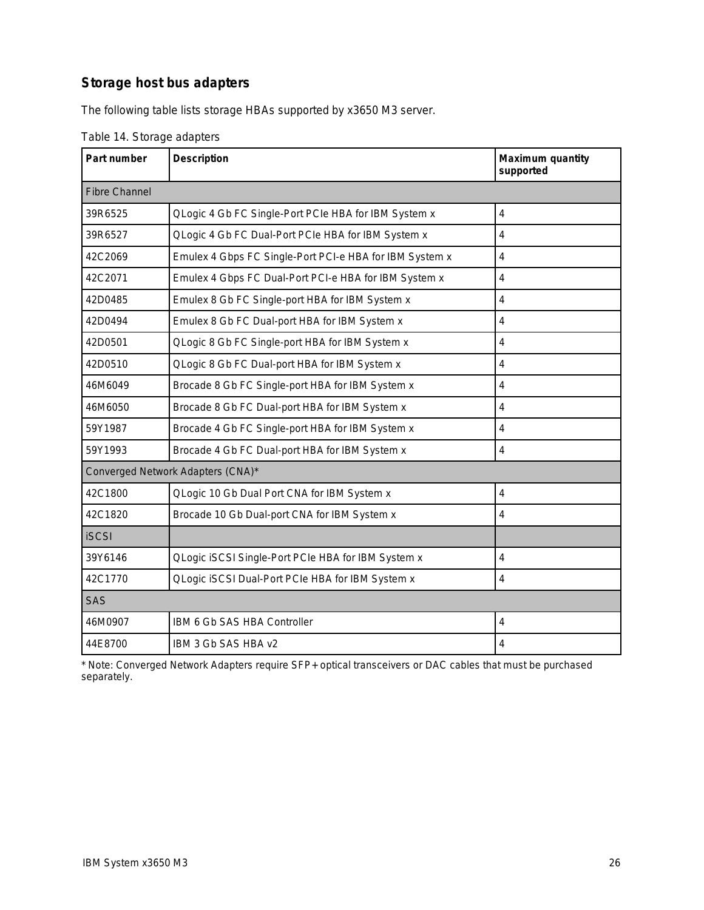# **Storage host bus adapters**

The following table lists storage HBAs supported by x3650 M3 server.

|  | Table 14. Storage adapters |
|--|----------------------------|
|--|----------------------------|

| Part number          | <b>Description</b>                                      | <b>Maximum quantity</b><br>supported |  |  |
|----------------------|---------------------------------------------------------|--------------------------------------|--|--|
| <b>Fibre Channel</b> |                                                         |                                      |  |  |
| 39R6525              | QLogic 4 Gb FC Single-Port PCle HBA for IBM System x    | 4                                    |  |  |
| 39R6527              | QLogic 4 Gb FC Dual-Port PCIe HBA for IBM System x      | 4                                    |  |  |
| 42C2069              | Emulex 4 Gbps FC Single-Port PCI-e HBA for IBM System x | 4                                    |  |  |
| 42C2071              | Emulex 4 Gbps FC Dual-Port PCI-e HBA for IBM System x   | 4                                    |  |  |
| 42D0485              | Emulex 8 Gb FC Single-port HBA for IBM System x         | 4                                    |  |  |
| 42D0494              | Emulex 8 Gb FC Dual-port HBA for IBM System x           | 4                                    |  |  |
| 42D0501              | QLogic 8 Gb FC Single-port HBA for IBM System x         | 4                                    |  |  |
| 42D0510              | QLogic 8 Gb FC Dual-port HBA for IBM System x           | 4                                    |  |  |
| 46M6049              | Brocade 8 Gb FC Single-port HBA for IBM System x        | 4                                    |  |  |
| 46M6050              | Brocade 8 Gb FC Dual-port HBA for IBM System x          | 4                                    |  |  |
| 59Y1987              | Brocade 4 Gb FC Single-port HBA for IBM System x        | 4                                    |  |  |
| 59Y1993              | Brocade 4 Gb FC Dual-port HBA for IBM System x          | 4                                    |  |  |
|                      | Converged Network Adapters (CNA)*                       |                                      |  |  |
| 42C1800              | QLogic 10 Gb Dual Port CNA for IBM System x             | 4                                    |  |  |
| 42C1820              | Brocade 10 Gb Dual-port CNA for IBM System x            | 4                                    |  |  |
| <b>iSCSI</b>         |                                                         |                                      |  |  |
| 39Y6146              | QLogic iSCSI Single-Port PCIe HBA for IBM System x      | 4                                    |  |  |
| 42C1770              | QLogic iSCSI Dual-Port PCIe HBA for IBM System x        | 4                                    |  |  |
| <b>SAS</b>           |                                                         |                                      |  |  |
| 46M0907              | IBM 6 Gb SAS HBA Controller                             | 4                                    |  |  |
| 44E8700              | IBM 3 Gb SAS HBA v2                                     | 4                                    |  |  |

\* Note: Converged Network Adapters require SFP+ optical transceivers or DAC cables that must be purchased separately.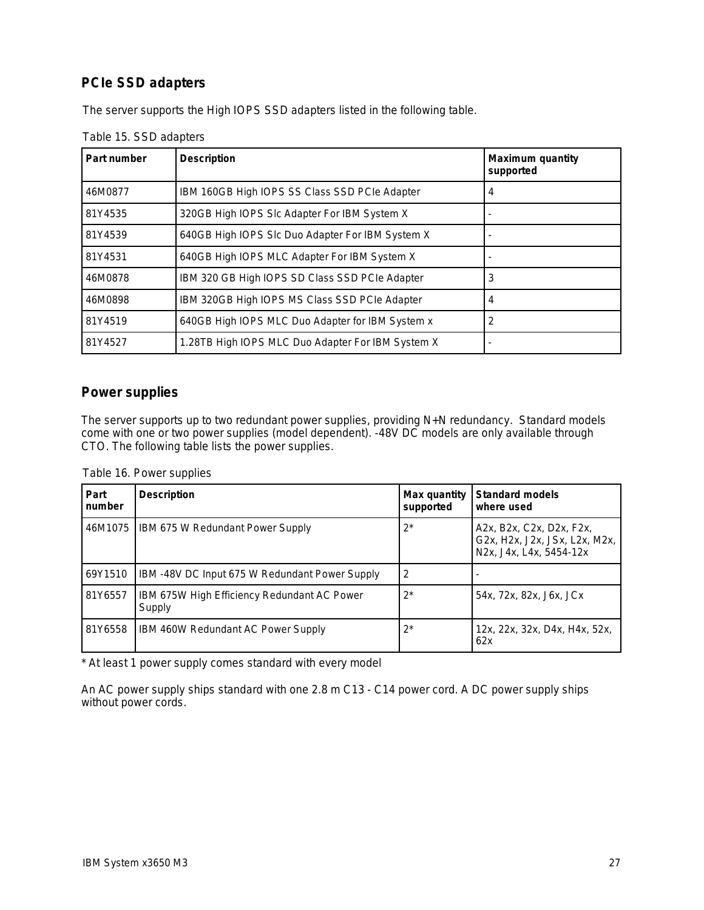## **PCIe SSD adapters**

The server supports the High IOPS SSD adapters listed in the following table.

| Part number | <b>Description</b>                                | <b>Maximum quantity</b><br>supported |
|-------------|---------------------------------------------------|--------------------------------------|
| 46M0877     | IBM 160GB High IOPS SS Class SSD PCIe Adapter     | 4                                    |
| 81Y4535     | 320GB High IOPS SIc Adapter For IBM System X      |                                      |
| 81Y4539     | 640GB High IOPS SIc Duo Adapter For IBM System X  |                                      |
| 81Y4531     | 640GB High IOPS MLC Adapter For IBM System X      | <b>1</b>                             |
| 46M0878     | IBM 320 GB High IOPS SD Class SSD PCIe Adapter    | 3                                    |
| 46M0898     | IBM 320GB High IOPS MS Class SSD PCIe Adapter     | 4                                    |
| 81Y4519     | 640GB High IOPS MLC Duo Adapter for IBM System x  | 2                                    |
| 81Y4527     | 1.28TB High IOPS MLC Duo Adapter For IBM System X |                                      |

Table 15. SSD adapters

#### **Power supplies**

The server supports up to two redundant power supplies, providing N+N redundancy. Standard models come with one or two power supplies (model dependent). -48V DC models are only available through CTO. The following table lists the power supplies.

Table 16. Power supplies

| Part<br>number | <b>Description</b>                                    | Max quantity<br>supported | <b>Standard models</b><br>where used                                                 |
|----------------|-------------------------------------------------------|---------------------------|--------------------------------------------------------------------------------------|
|                | 46M1075   IBM 675 W Redundant Power Supply            | $2^*$                     | A2x, B2x, C2x, D2x, F2x,<br>G2x, H2x, J2x, JSx, L2x, M2x,<br>N2x, J4x, L4x, 5454-12x |
| 69Y1510        | IBM-48V DC Input 675 W Redundant Power Supply         |                           |                                                                                      |
| 81Y6557        | IBM 675W High Efficiency Redundant AC Power<br>Supply | $2^*$                     | 54x, 72x, 82x, J6x, JCx                                                              |
| 81Y6558        | IBM 460W Redundant AC Power Supply                    | $2^*$                     | 12x, 22x, 32x, D4x, H4x, 52x,<br>62x                                                 |

\* At least 1 power supply comes standard with every model

An AC power supply ships standard with one 2.8 m C13 - C14 power cord. A DC power supply ships without power cords.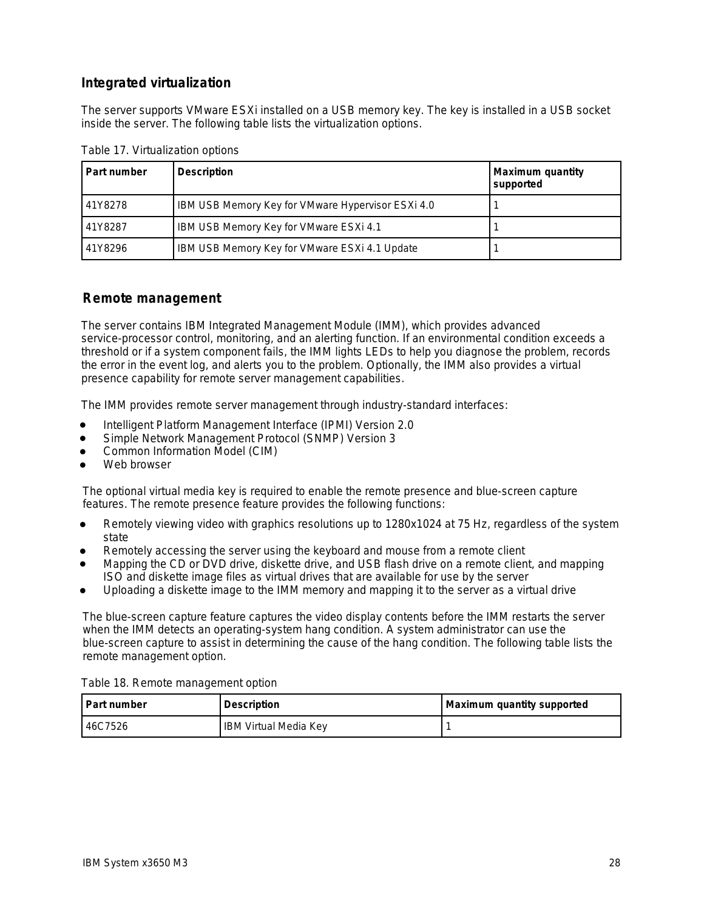#### **Integrated virtualization**

The server supports VMware ESXi installed on a USB memory key. The key is installed in a USB socket inside the server. The following table lists the virtualization options.

| l Part number | <b>Description</b>                                | Maximum quantity<br>supported |
|---------------|---------------------------------------------------|-------------------------------|
| 41Y8278       | IBM USB Memory Key for VMware Hypervisor ESXi 4.0 |                               |
| 41Y8287       | IBM USB Memory Key for VMware ESXi 4.1            |                               |
| 41Y8296       | IBM USB Memory Key for VMware ESXI 4.1 Update     |                               |

Table 17. Virtualization options

#### **Remote management**

The server contains IBM Integrated Management Module (IMM), which provides advanced service-processor control, monitoring, and an alerting function. If an environmental condition exceeds a threshold or if a system component fails, the IMM lights LEDs to help you diagnose the problem, records the error in the event log, and alerts you to the problem. Optionally, the IMM also provides a virtual presence capability for remote server management capabilities.

The IMM provides remote server management through industry-standard interfaces:

- Intelligent Platform Management Interface (IPMI) Version 2.0
- Simple Network Management Protocol (SNMP) Version 3
- Common Information Model (CIM)
- Web browser

The optional virtual media key is required to enable the remote presence and blue-screen capture features. The remote presence feature provides the following functions:

- Remotely viewing video with graphics resolutions up to 1280x1024 at 75 Hz, regardless of the system state
- Remotely accessing the server using the keyboard and mouse from a remote client
- Mapping the CD or DVD drive, diskette drive, and USB flash drive on a remote client, and mapping ISO and diskette image files as virtual drives that are available for use by the server
- Uploading a diskette image to the IMM memory and mapping it to the server as a virtual drive

The blue-screen capture feature captures the video display contents before the IMM restarts the server when the IMM detects an operating-system hang condition. A system administrator can use the blue-screen capture to assist in determining the cause of the hang condition. The following table lists the remote management option.

| I Part number | <b>Description</b>    | Maximum quantity supported |
|---------------|-----------------------|----------------------------|
| '46C7526      | IBM Virtual Media Key |                            |

Table 18. Remote management option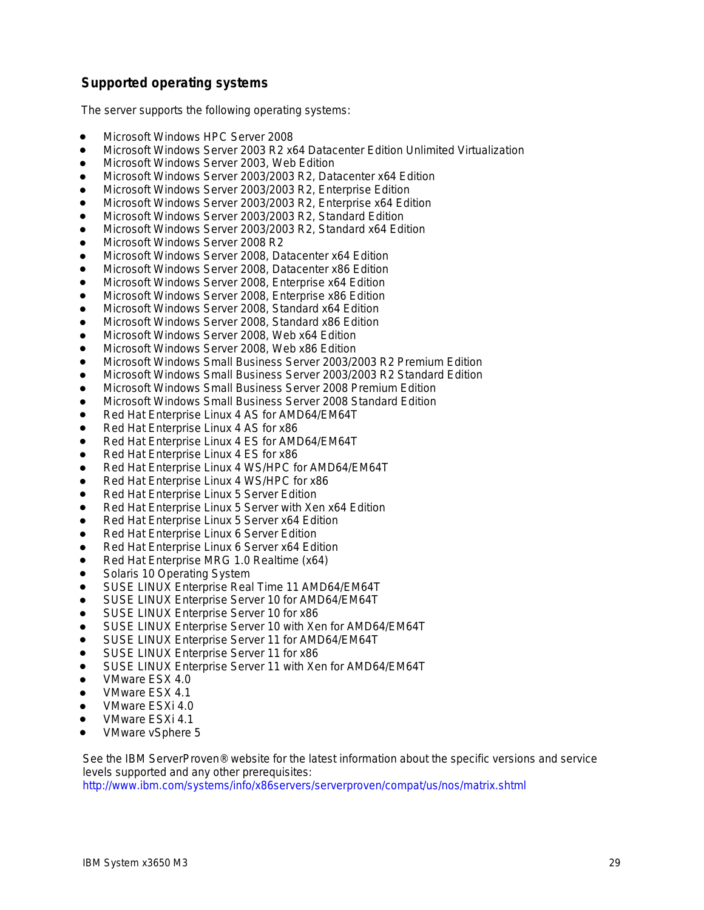#### **Supported operating systems**

The server supports the following operating systems:

- Microsoft Windows HPC Server 2008
- Microsoft Windows Server 2003 R2 x64 Datacenter Edition Unlimited Virtualization
- Microsoft Windows Server 2003, Web Edition
- Microsoft Windows Server 2003/2003 R2, Datacenter x64 Edition
- Microsoft Windows Server 2003/2003 R2, Enterprise Edition
- Microsoft Windows Server 2003/2003 R2, Enterprise x64 Edition
- Microsoft Windows Server 2003/2003 R2, Standard Edition
- Microsoft Windows Server 2003/2003 R2, Standard x64 Edition
- Microsoft Windows Server 2008 R2
- Microsoft Windows Server 2008, Datacenter x64 Edition
- Microsoft Windows Server 2008, Datacenter x86 Edition
- Microsoft Windows Server 2008, Enterprise x64 Edition
- Microsoft Windows Server 2008, Enterprise x86 Edition
- Microsoft Windows Server 2008, Standard x64 Edition
- Microsoft Windows Server 2008, Standard x86 Edition
- Microsoft Windows Server 2008, Web x64 Edition
- Microsoft Windows Server 2008, Web x86 Edition
- Microsoft Windows Small Business Server 2003/2003 R2 Premium Edition
- Microsoft Windows Small Business Server 2003/2003 R2 Standard Edition
- Microsoft Windows Small Business Server 2008 Premium Edition
- Microsoft Windows Small Business Server 2008 Standard Edition
- Red Hat Enterprise Linux 4 AS for AMD64/EM64T
- Red Hat Enterprise Linux 4 AS for x86
- Red Hat Enterprise Linux 4 ES for AMD64/EM64T
- Red Hat Enterprise Linux 4 ES for x86
- Red Hat Enterprise Linux 4 WS/HPC for AMD64/EM64T
- Red Hat Enterprise Linux 4 WS/HPC for x86
- Red Hat Enterprise Linux 5 Server Edition
- Red Hat Enterprise Linux 5 Server with Xen x64 Edition
- Red Hat Enterprise Linux 5 Server x64 Edition
- Red Hat Enterprise Linux 6 Server Edition
- Red Hat Enterprise Linux 6 Server x64 Edition
- Red Hat Enterprise MRG 1.0 Realtime (x64)
- Solaris 10 Operating System
- SUSE LINUX Enterprise Real Time 11 AMD64/EM64T
- SUSE LINUX Enterprise Server 10 for AMD64/EM64T
- SUSE LINUX Enterprise Server 10 for x86
- SUSE LINUX Enterprise Server 10 with Xen for AMD64/EM64T
- SUSE LINUX Enterprise Server 11 for AMD64/EM64T
- SUSE LINUX Enterprise Server 11 for x86
- SUSE LINUX Enterprise Server 11 with Xen for AMD64/EM64T
- VMware ESX 4.0
- VMware ESX 4.1
- VMware ESXi 4.0
- VMware ESXi 4.1
- VMware vSphere 5

See the IBM ServerProven® website for the latest information about the specific versions and service levels supported and any other prerequisites:

<http://www.ibm.com/systems/info/x86servers/serverproven/compat/us/nos/matrix.shtml>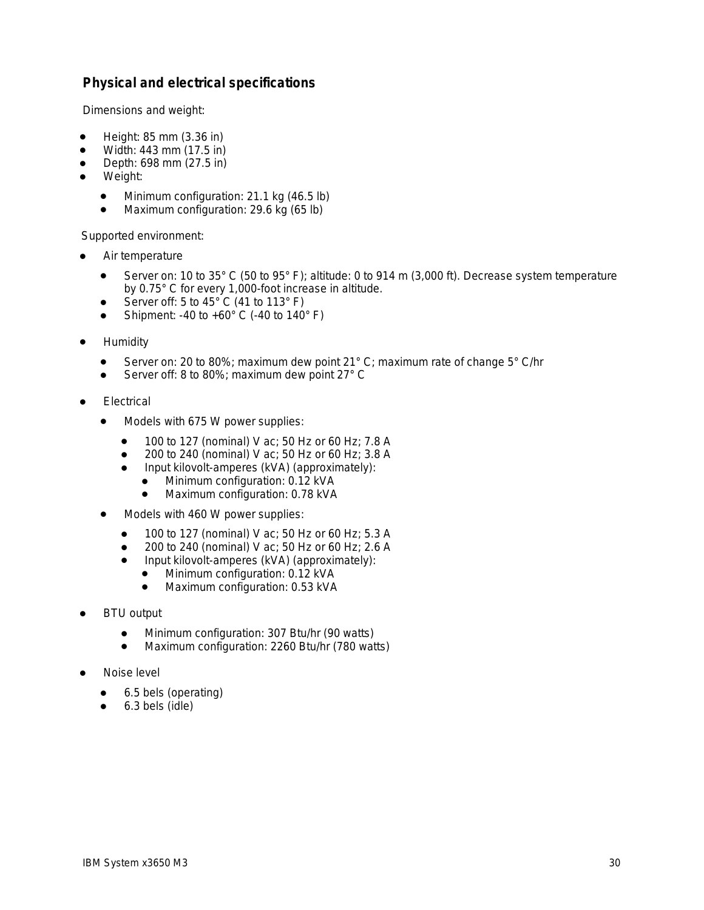#### **Physical and electrical specifications**

Dimensions and weight:

- Height: 85 mm (3.36 in)
- Width: 443 mm (17.5 in)
- Depth: 698 mm (27.5 in)
- Weight:
	- Minimum configuration: 21.1 kg (46.5 lb)
	- Maximum configuration: 29.6 kg (65 lb)

Supported environment:

- Air temperature
	- Server on: 10 to  $35^{\circ}$  C (50 to  $95^{\circ}$  F); altitude: 0 to  $914$  m (3,000 ft). Decrease system temperature by 0.75° C for every 1,000-foot increase in altitude.
	- Server off: 5 to 45° C (41 to 113° F)
	- Shipment: -40 to +60° C (-40 to 140° F)
- **•** Humidity
	- Server on: 20 to 80%; maximum dew point 21° C; maximum rate of change 5° C/hr
	- Server off: 8 to 80%; maximum dew point 27° C
- Electrical
	- Models with 675 W power supplies:
		- $\bullet$  100 to 127 (nominal) V ac; 50 Hz or 60 Hz; 7.8 A
		- $\bullet$  200 to 240 (nominal) V ac; 50 Hz or 60 Hz; 3.8 A
		- Input kilovolt-amperes (kVA) (approximately):
			- Minimum configuration: 0.12 kVA
			- Maximum configuration: 0.78 kVA
	- Models with 460 W power supplies:
		- $\bullet$  100 to 127 (nominal) V ac; 50 Hz or 60 Hz; 5.3 A
		- $\bullet$  200 to 240 (nominal) V ac; 50 Hz or 60 Hz; 2.6 A
		- Input kilovolt-amperes (kVA) (approximately):
			- Minimum configuration: 0.12 kVA
			- Maximum configuration: 0.53 kVA
- BTU output
	- Minimum configuration: 307 Btu/hr (90 watts)
	- Maximum configuration: 2260 Btu/hr (780 watts)
- Noise level
	- 6.5 bels (operating)
	- 6.3 bels (idle)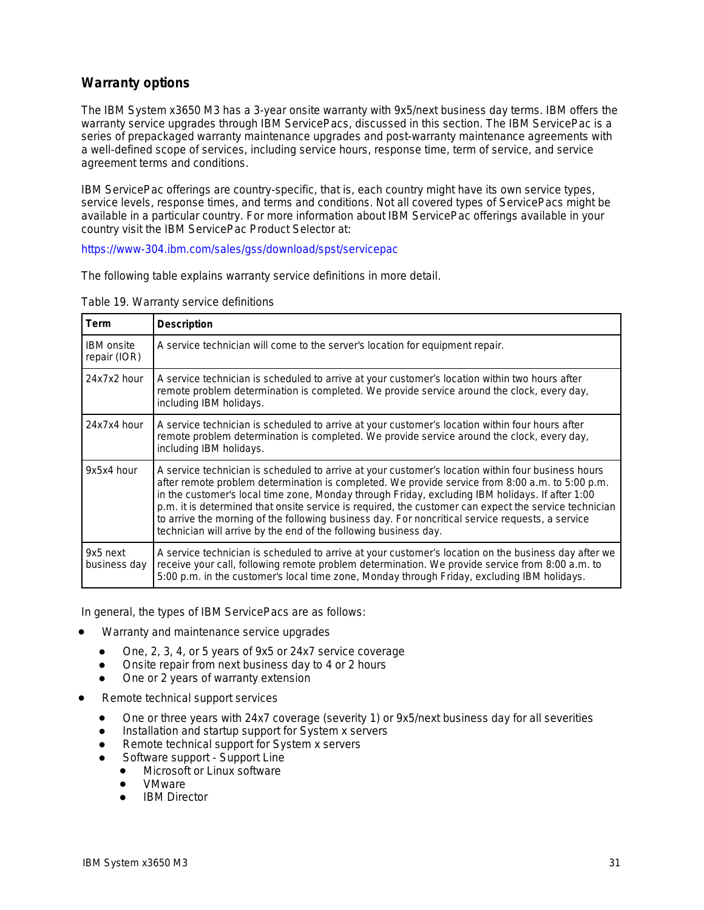#### **Warranty options**

The IBM System x3650 M3 has a 3-year onsite warranty with 9x5/next business day terms. IBM offers the warranty service upgrades through IBM ServicePacs, discussed in this section. The IBM ServicePac is a series of prepackaged warranty maintenance upgrades and post-warranty maintenance agreements with a well-defined scope of services, including service hours, response time, term of service, and service agreement terms and conditions.

IBM ServicePac offerings are country-specific, that is, each country might have its own service types, service levels, response times, and terms and conditions. Not all covered types of ServicePacs might be available in a particular country. For more information about IBM ServicePac offerings available in your country visit the IBM ServicePac Product Selector at:

<https://www-304.ibm.com/sales/gss/download/spst/servicepac>

The following table explains warranty service definitions in more detail.

| Term                              | <b>Description</b>                                                                                                                                                                                                                                                                                                                                                                                                                                                                                                                                                                        |
|-----------------------------------|-------------------------------------------------------------------------------------------------------------------------------------------------------------------------------------------------------------------------------------------------------------------------------------------------------------------------------------------------------------------------------------------------------------------------------------------------------------------------------------------------------------------------------------------------------------------------------------------|
| <b>IBM</b> onsite<br>repair (IOR) | A service technician will come to the server's location for equipment repair.                                                                                                                                                                                                                                                                                                                                                                                                                                                                                                             |
| 24x7x2 hour                       | A service technician is scheduled to arrive at your customer's location within two hours after<br>remote problem determination is completed. We provide service around the clock, every day,<br>including IBM holidays.                                                                                                                                                                                                                                                                                                                                                                   |
| 24x7x4 hour                       | A service technician is scheduled to arrive at your customer's location within four hours after<br>remote problem determination is completed. We provide service around the clock, every day,<br>including IBM holidays.                                                                                                                                                                                                                                                                                                                                                                  |
| 9x5x4 hour                        | A service technician is scheduled to arrive at your customer's location within four business hours<br>after remote problem determination is completed. We provide service from 8:00 a.m. to 5:00 p.m.<br>in the customer's local time zone, Monday through Friday, excluding IBM holidays. If after 1:00<br>p.m. it is determined that onsite service is required, the customer can expect the service technician<br>to arrive the morning of the following business day. For noncritical service requests, a service<br>technician will arrive by the end of the following business day. |
| 9x5 next<br>business day          | A service technician is scheduled to arrive at your customer's location on the business day after we<br>receive your call, following remote problem determination. We provide service from 8:00 a.m. to<br>5:00 p.m. in the customer's local time zone, Monday through Friday, excluding IBM holidays.                                                                                                                                                                                                                                                                                    |

Table 19. Warranty service definitions

In general, the types of IBM ServicePacs are as follows:

- Warranty and maintenance service upgrades
	- One, 2, 3, 4, or 5 years of 9x5 or 24x7 service coverage
	- Onsite repair from next business day to 4 or 2 hours
	- One or 2 years of warranty extension
- Remote technical support services
	- One or three years with 24x7 coverage (severity 1) or 9x5/next business day for all severities
	- Installation and startup support for System x servers
	- Remote technical support for System x servers
	- Software support Support Line
	- Microsoft or Linux software
		- VMware
		- IBM Director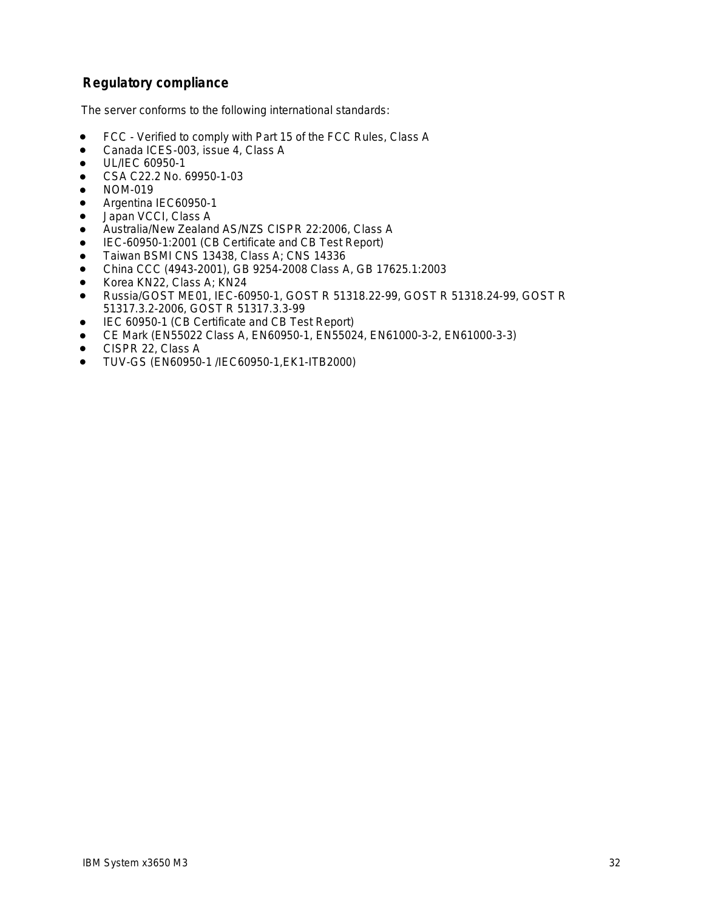## **Regulatory compliance**

The server conforms to the following international standards:

- FCC Verified to comply with Part 15 of the FCC Rules, Class A
- Canada ICES-003, issue 4, Class A
- UL/IEC 60950-1
- CSA C22.2 No. 69950-1-03
- NOM-019
- Argentina IEC60950-1
- Japan VCCI, Class A
- Australia/New Zealand AS/NZS CISPR 22:2006, Class A
- IEC-60950-1:2001 (CB Certificate and CB Test Report)
- **Taiwan BSMI CNS 13438, Class A; CNS 14336**
- China CCC (4943-2001), GB 9254-2008 Class A, GB 17625.1:2003
- Korea KN22, Class A; KN24
- Russia/GOST ME01, IEC-60950-1, GOST R 51318.22-99, GOST R 51318.24-99, GOST R 51317.3.2-2006, GOST R 51317.3.3-99
- IEC 60950-1 (CB Certificate and CB Test Report)
- CE Mark (EN55022 Class A, EN60950-1, EN55024, EN61000-3-2, EN61000-3-3)
- CISPR 22, Class A
- TUV-GS (EN60950-1 /IEC60950-1,EK1-ITB2000)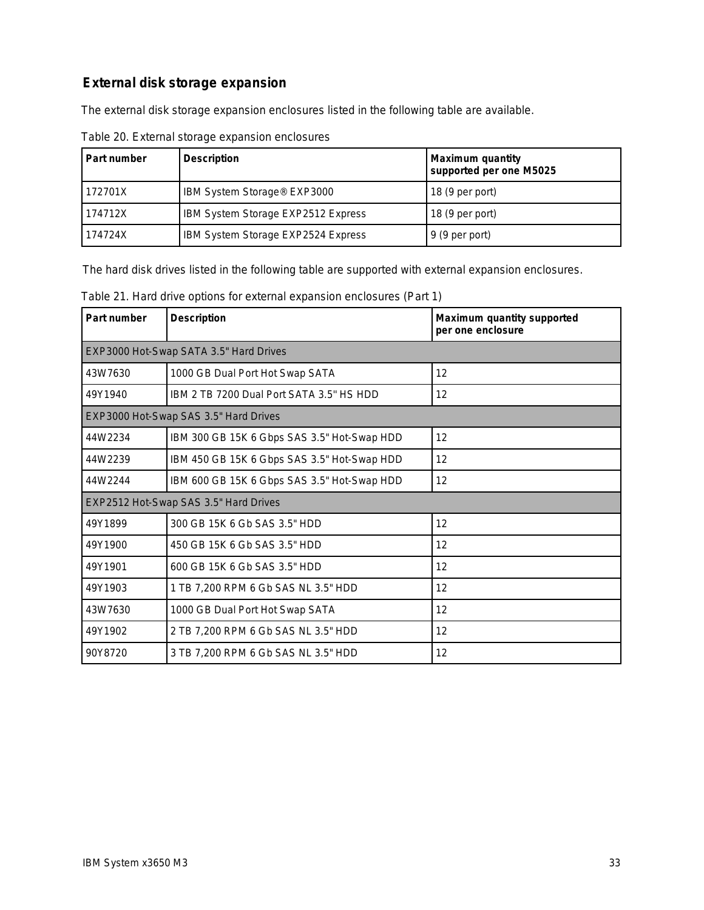#### **External disk storage expansion**

The external disk storage expansion enclosures listed in the following table are available.

| Part number | <b>Description</b>                 | <b>Maximum quantity</b><br>supported per one M5025 |
|-------------|------------------------------------|----------------------------------------------------|
| l 172701X   | IBM System Storage® EXP3000        | 18 (9 per port)                                    |
| l 174712X   | IBM System Storage EXP2512 Express | 18 (9 per port)                                    |
| l 174724X   | IBM System Storage EXP2524 Express | $9(9$ per port)                                    |

Table 20. External storage expansion enclosures

The hard disk drives listed in the following table are supported with external expansion enclosures.

Table 21. Hard drive options for external expansion enclosures (Part 1)

| Part number                           | <b>Description</b>                          | <b>Maximum quantity supported</b><br>per one enclosure |
|---------------------------------------|---------------------------------------------|--------------------------------------------------------|
|                                       | EXP3000 Hot-Swap SATA 3.5" Hard Drives      |                                                        |
| 43W7630                               | 1000 GB Dual Port Hot Swap SATA             | 12                                                     |
| 49Y1940                               | IBM 2 TB 7200 Dual Port SATA 3.5" HS HDD    | 12                                                     |
|                                       | EXP3000 Hot-Swap SAS 3.5" Hard Drives       |                                                        |
| 44W2234                               | IBM 300 GB 15K 6 Gbps SAS 3.5" Hot-Swap HDD | 12                                                     |
| 44W2239                               | IBM 450 GB 15K 6 Gbps SAS 3.5" Hot-Swap HDD | 12                                                     |
| 44W2244                               | IBM 600 GB 15K 6 Gbps SAS 3.5" Hot-Swap HDD | 12                                                     |
| EXP2512 Hot-Swap SAS 3.5" Hard Drives |                                             |                                                        |
| 49Y1899                               | 300 GB 15K 6 Gb SAS 3.5" HDD                | 12                                                     |
| 49Y1900                               | 450 GB 15K 6 Gb SAS 3.5" HDD                | 12                                                     |
| 49Y1901                               | 600 GB 15K 6 Gb SAS 3.5" HDD                | 12                                                     |
| 49Y1903                               | 1 TB 7,200 RPM 6 Gb SAS NL 3.5" HDD         | 12                                                     |
| 43W7630                               | 1000 GB Dual Port Hot Swap SATA             | 12                                                     |
| 49Y1902                               | 2 TB 7,200 RPM 6 Gb SAS NL 3.5" HDD         | 12                                                     |
| 90Y8720                               | 3 TB 7,200 RPM 6 Gb SAS NL 3.5" HDD         | 12                                                     |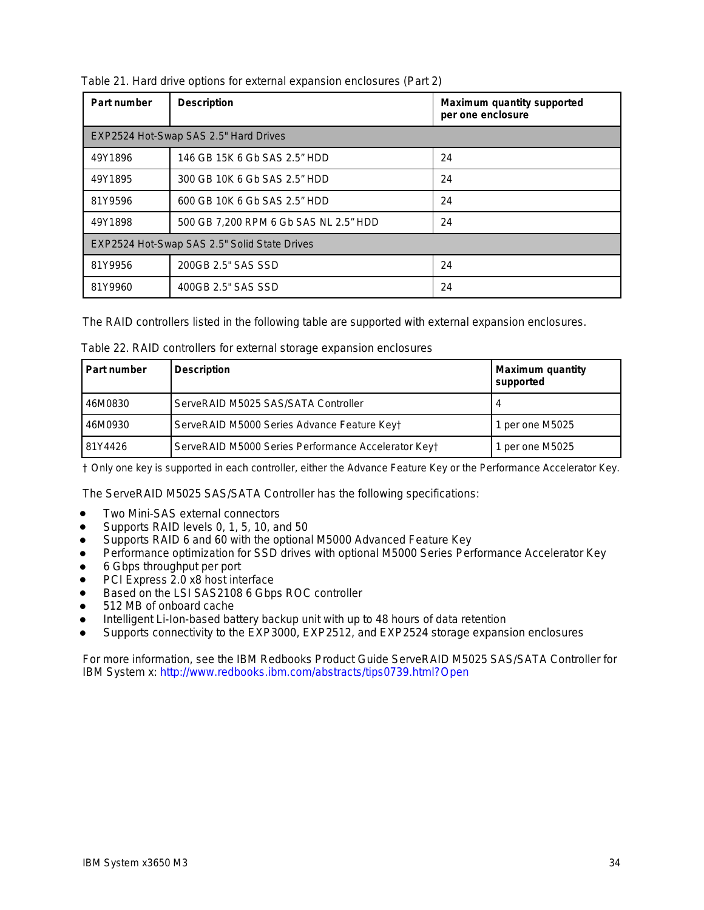| Part number                                  | <b>Description</b>                    | <b>Maximum quantity supported</b><br>per one enclosure |
|----------------------------------------------|---------------------------------------|--------------------------------------------------------|
|                                              | EXP2524 Hot-Swap SAS 2.5" Hard Drives |                                                        |
| 49Y1896                                      | 146 GB 15K 6 Gb SAS 2.5" HDD          | 24                                                     |
| 49Y1895                                      | 300 GB 10K 6 Gb SAS 2.5" HDD          | 24                                                     |
| 81Y9596                                      | 600 GB 10K 6 Gb SAS 2.5" HDD          | 24                                                     |
| 49Y1898                                      | 500 GB 7,200 RPM 6 Gb SAS NL 2.5" HDD | 24                                                     |
| EXP2524 Hot-Swap SAS 2.5" Solid State Drives |                                       |                                                        |
| 81Y9956                                      | 200GB 2.5" SAS SSD                    | 24                                                     |
| 81Y9960                                      | 400GB 2.5" SAS SSD                    | 24                                                     |

Table 21. Hard drive options for external expansion enclosures (Part 2)

The RAID controllers listed in the following table are supported with external expansion enclosures.

| Part number | <b>Description</b>                                  | Maximum quantity<br>supported |
|-------------|-----------------------------------------------------|-------------------------------|
| 46M0830     | ServeRAID M5025 SAS/SATA Controller                 | 4                             |
| 46M0930     | ServeRAID M5000 Series Advance Feature Keyt         | 1 per one M5025               |
| 81Y4426     | ServeRAID M5000 Series Performance Accelerator Keyt | 1 per one M5025               |

† Only one key is supported in each controller, either the Advance Feature Key or the Performance Accelerator Key.

The ServeRAID M5025 SAS/SATA Controller has the following specifications:

- Two Mini-SAS external connectors
- Supports RAID levels 0, 1, 5, 10, and 50
- Supports RAID 6 and 60 with the optional M5000 Advanced Feature Key
- Performance optimization for SSD drives with optional M5000 Series Performance Accelerator Key
- 6 Gbps throughput per port
- PCI Express 2.0 x8 host interface
- Based on the LSI SAS2108 6 Gbps ROC controller
- 512 MB of onboard cache
- Intelligent Li-Ion-based battery backup unit with up to 48 hours of data retention
- Supports connectivity to the EXP3000, EXP2512, and EXP2524 storage expansion enclosures

For more information, see the IBM Redbooks Product Guide *ServeRAID M5025 SAS/SATA Controller for IBM System x*: <http://www.redbooks.ibm.com/abstracts/tips0739.html?Open>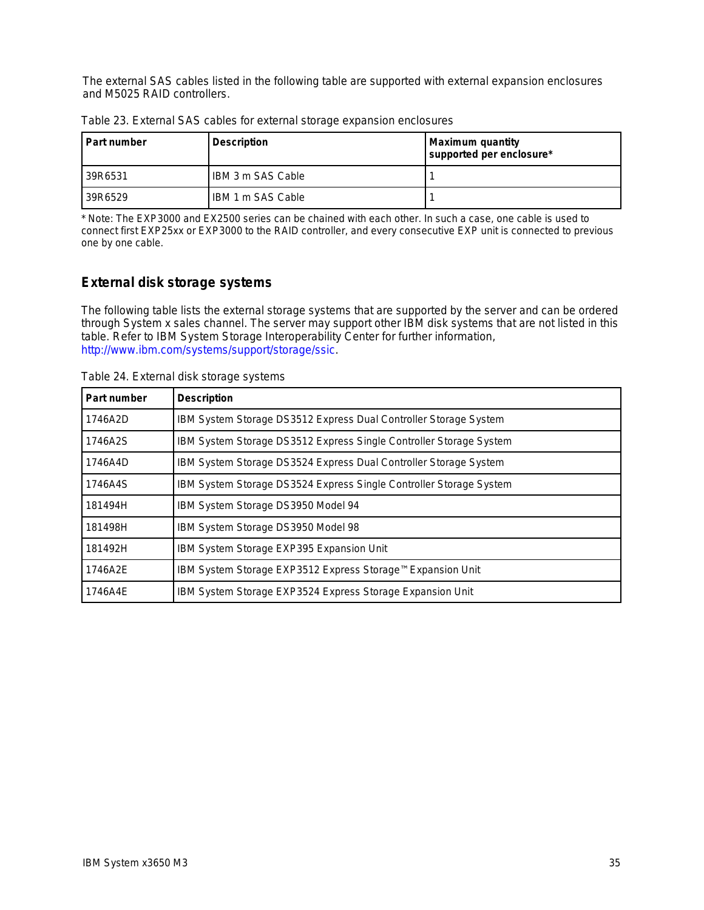The external SAS cables listed in the following table are supported with external expansion enclosures and M5025 RAID controllers.

| ' Part number | <b>Description</b> | Maximum quantity<br>supported per enclosure* |
|---------------|--------------------|----------------------------------------------|
| 39R6531       | IBM 3 m SAS Cable  |                                              |
| 39R6529       | IBM 1 m SAS Cable  |                                              |

Table 23. External SAS cables for external storage expansion enclosures

\* Note: The EXP3000 and EX2500 series can be chained with each other. In such a case, one cable is used to connect first EXP25xx or EXP3000 to the RAID controller, and every consecutive EXP unit is connected to previous one by one cable.

#### **External disk storage systems**

The following table lists the external storage systems that are supported by the server and can be ordered through System x sales channel. The server may support other IBM disk systems that are not listed in this table. Refer to IBM System Storage Interoperability Center for further information, <http://www.ibm.com/systems/support/storage/ssic.>

| Part number | <b>Description</b>                                                 |
|-------------|--------------------------------------------------------------------|
| 1746A2D     | IBM System Storage DS3512 Express Dual Controller Storage System   |
| 1746A2S     | IBM System Storage DS3512 Express Single Controller Storage System |
| 1746A4D     | IBM System Storage DS3524 Express Dual Controller Storage System   |
| 1746A4S     | IBM System Storage DS3524 Express Single Controller Storage System |
| 181494H     | IBM System Storage DS3950 Model 94                                 |
| 181498H     | IBM System Storage DS3950 Model 98                                 |
| 181492H     | IBM System Storage EXP395 Expansion Unit                           |
| 1746A2E     | IBM System Storage EXP3512 Express Storage™ Expansion Unit         |
| 1746A4E     | IBM System Storage EXP3524 Express Storage Expansion Unit          |

Table 24. External disk storage systems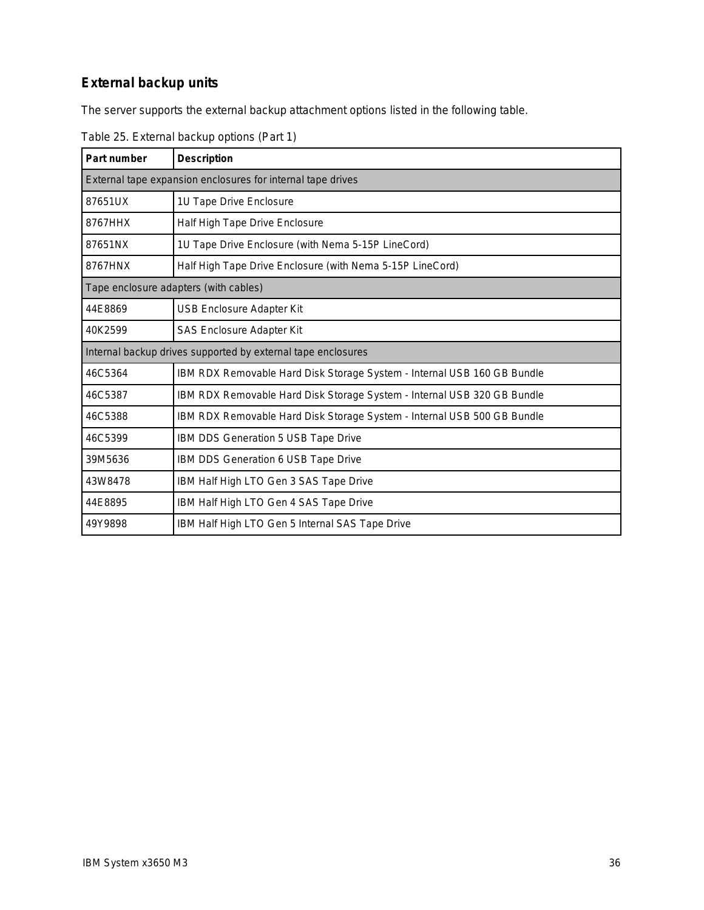# **External backup units**

The server supports the external backup attachment options listed in the following table.

| Part number                                                  | <b>Description</b>                                                      |
|--------------------------------------------------------------|-------------------------------------------------------------------------|
| External tape expansion enclosures for internal tape drives  |                                                                         |
| 87651UX                                                      | 1U Tape Drive Enclosure                                                 |
| 8767HHX                                                      | Half High Tape Drive Enclosure                                          |
| 87651NX                                                      | 1U Tape Drive Enclosure (with Nema 5-15P LineCord)                      |
| 8767HNX                                                      | Half High Tape Drive Enclosure (with Nema 5-15P LineCord)               |
| Tape enclosure adapters (with cables)                        |                                                                         |
| 44E8869                                                      | USB Enclosure Adapter Kit                                               |
| 40K2599                                                      | SAS Enclosure Adapter Kit                                               |
| Internal backup drives supported by external tape enclosures |                                                                         |
| 46C5364                                                      | IBM RDX Removable Hard Disk Storage System - Internal USB 160 GB Bundle |
| 46C5387                                                      | IBM RDX Removable Hard Disk Storage System - Internal USB 320 GB Bundle |
| 46C5388                                                      | IBM RDX Removable Hard Disk Storage System - Internal USB 500 GB Bundle |
| 46C5399                                                      | IBM DDS Generation 5 USB Tape Drive                                     |
| 39M5636                                                      | IBM DDS Generation 6 USB Tape Drive                                     |
| 43W8478                                                      | IBM Half High LTO Gen 3 SAS Tape Drive                                  |
| 44E8895                                                      | IBM Half High LTO Gen 4 SAS Tape Drive                                  |
| 49Y9898                                                      | IBM Half High LTO Gen 5 Internal SAS Tape Drive                         |

Table 25. External backup options (Part 1)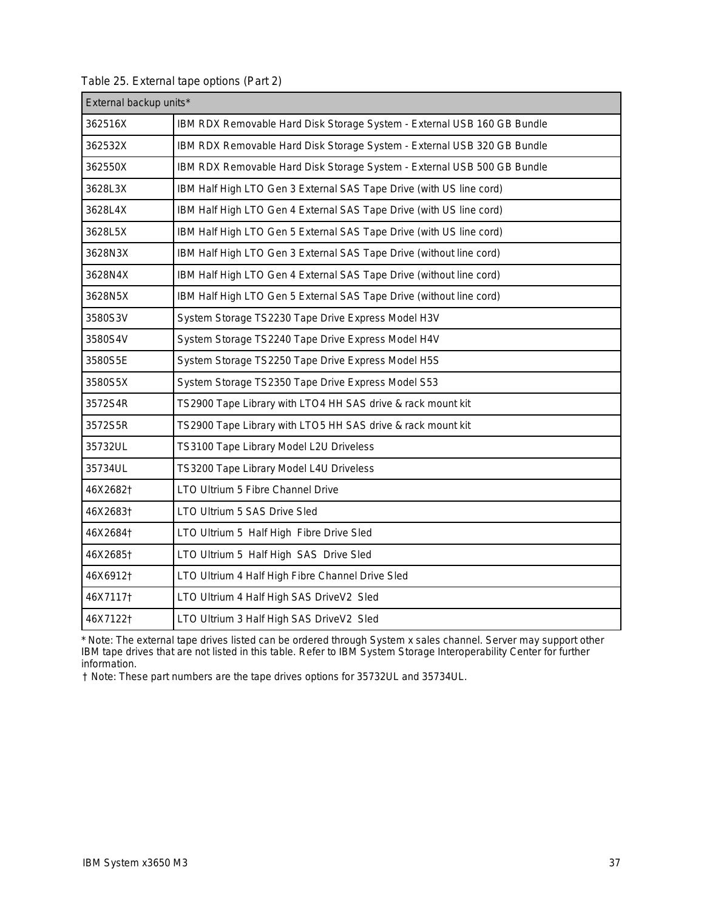| External backup units* |                                                                         |
|------------------------|-------------------------------------------------------------------------|
| 362516X                | IBM RDX Removable Hard Disk Storage System - External USB 160 GB Bundle |
| 362532X                | IBM RDX Removable Hard Disk Storage System - External USB 320 GB Bundle |
| 362550X                | IBM RDX Removable Hard Disk Storage System - External USB 500 GB Bundle |
| 3628L3X                | IBM Half High LTO Gen 3 External SAS Tape Drive (with US line cord)     |
| 3628L4X                | IBM Half High LTO Gen 4 External SAS Tape Drive (with US line cord)     |
| 3628L5X                | IBM Half High LTO Gen 5 External SAS Tape Drive (with US line cord)     |
| 3628N3X                | IBM Half High LTO Gen 3 External SAS Tape Drive (without line cord)     |
| 3628N4X                | IBM Half High LTO Gen 4 External SAS Tape Drive (without line cord)     |
| 3628N5X                | IBM Half High LTO Gen 5 External SAS Tape Drive (without line cord)     |
| 3580S3V                | System Storage TS2230 Tape Drive Express Model H3V                      |
| 3580S4V                | System Storage TS2240 Tape Drive Express Model H4V                      |
| 3580S5E                | System Storage TS2250 Tape Drive Express Model H5S                      |
| 3580S5X                | System Storage TS2350 Tape Drive Express Model S53                      |
| 3572S4R                | TS2900 Tape Library with LTO4 HH SAS drive & rack mount kit             |
| 3572S5R                | TS2900 Tape Library with LTO5 HH SAS drive & rack mount kit             |
| 35732UL                | TS3100 Tape Library Model L2U Driveless                                 |
| 35734UL                | TS3200 Tape Library Model L4U Driveless                                 |
| 46X2682†               | LTO Ultrium 5 Fibre Channel Drive                                       |
| 46X26831               | LTO Ultrium 5 SAS Drive Sled                                            |
| 46X26841               | LTO Ultrium 5 Half High Fibre Drive Sled                                |
| 46X26851               | LTO Ultrium 5 Half High SAS Drive Sled                                  |
| 46X69121               | LTO Ultrium 4 Half High Fibre Channel Drive Sled                        |
| 46X71171               | LTO Ultrium 4 Half High SAS DriveV2 Sled                                |
| 46X71221               | LTO Ultrium 3 Half High SAS DriveV2 Sled                                |

Table 25. External tape options (Part 2)

\* Note: The external tape drives listed can be ordered through System x sales channel. Server may support other IBM tape drives that are not listed in this table. Refer to IBM System Storage Interoperability Center for further information.

† Note: These part numbers are the tape drives options for 35732UL and 35734UL.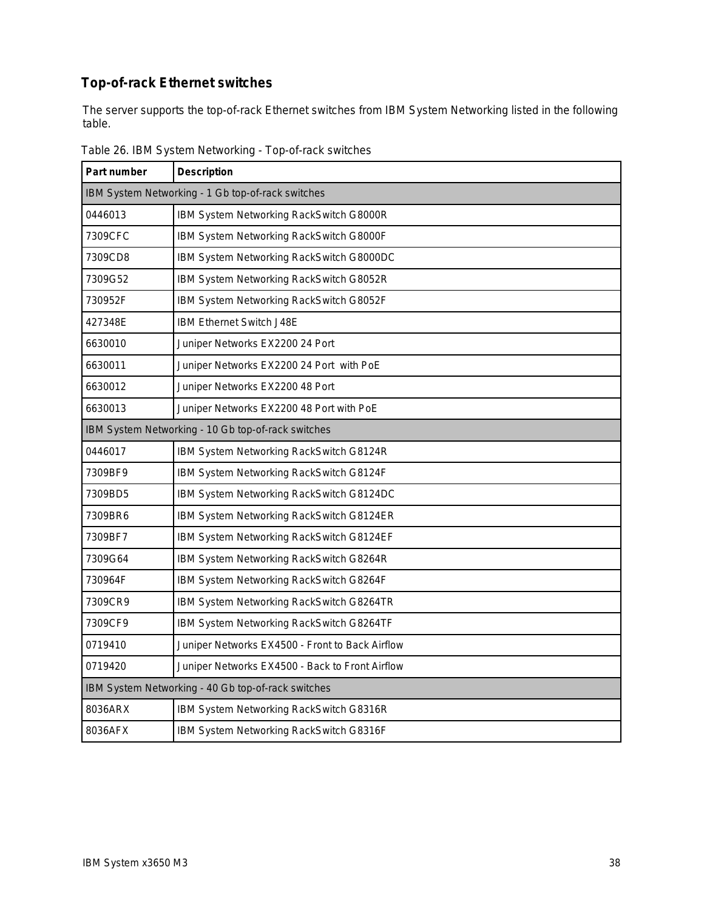# **Top-of-rack Ethernet switches**

The server supports the top-of-rack Ethernet switches from IBM System Networking listed in the following table.

| Part number                                        | <b>Description</b>                              |
|----------------------------------------------------|-------------------------------------------------|
| IBM System Networking - 1 Gb top-of-rack switches  |                                                 |
| 0446013                                            | IBM System Networking RackSwitch G8000R         |
| 7309CFC                                            | IBM System Networking RackSwitch G8000F         |
| 7309CD8                                            | IBM System Networking RackSwitch G8000DC        |
| 7309G52                                            | IBM System Networking RackSwitch G8052R         |
| 730952F                                            | IBM System Networking RackSwitch G8052F         |
| 427348E                                            | IBM Ethernet Switch J48E                        |
| 6630010                                            | Juniper Networks EX2200 24 Port                 |
| 6630011                                            | Juniper Networks EX2200 24 Port with PoE        |
| 6630012                                            | Juniper Networks EX2200 48 Port                 |
| 6630013                                            | Juniper Networks EX2200 48 Port with PoE        |
| IBM System Networking - 10 Gb top-of-rack switches |                                                 |
| 0446017                                            | IBM System Networking RackSwitch G8124R         |
| 7309BF9                                            | IBM System Networking RackSwitch G8124F         |
| 7309BD5                                            | IBM System Networking RackSwitch G8124DC        |
| 7309BR6                                            | IBM System Networking RackSwitch G8124ER        |
| 7309BF7                                            | IBM System Networking RackSwitch G8124EF        |
| 7309G64                                            | IBM System Networking RackSwitch G8264R         |
| 730964F                                            | IBM System Networking RackSwitch G8264F         |
| 7309CR9                                            | IBM System Networking RackSwitch G8264TR        |
| 7309CF9                                            | IBM System Networking RackSwitch G8264TF        |
| 0719410                                            | Juniper Networks EX4500 - Front to Back Airflow |
| 0719420                                            | Juniper Networks EX4500 - Back to Front Airflow |
| IBM System Networking - 40 Gb top-of-rack switches |                                                 |
| 8036ARX                                            | IBM System Networking RackSwitch G8316R         |
| 8036AFX                                            | IBM System Networking RackSwitch G8316F         |

Table 26. IBM System Networking - Top-of-rack switches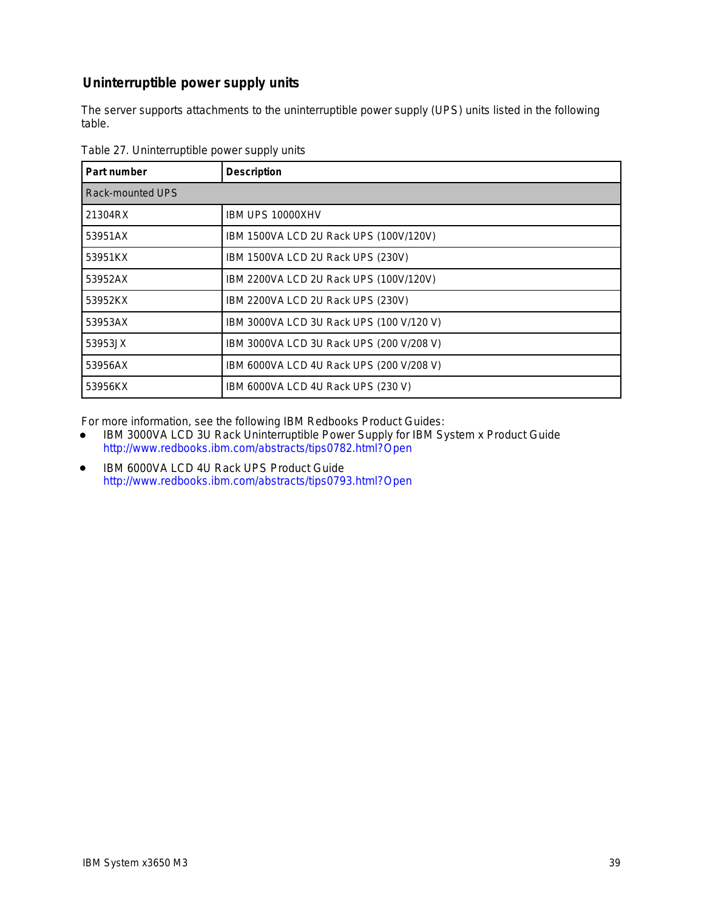### **Uninterruptible power supply units**

The server supports attachments to the uninterruptible power supply (UPS) units listed in the following table.

| Part number      | <b>Description</b>                       |
|------------------|------------------------------------------|
| Rack-mounted UPS |                                          |
| 21304RX          | IBM UPS 10000XHV                         |
| 53951AX          | IBM 1500VA LCD 2U Rack UPS (100V/120V)   |
| 53951KX          | IBM 1500VA LCD 2U Rack UPS (230V)        |
| 53952AX          | IBM 2200VA LCD 2U Rack UPS (100V/120V)   |
| 53952KX          | IBM 2200VA LCD 2U Rack UPS (230V)        |
| 53953AX          | IBM 3000VA LCD 3U Rack UPS (100 V/120 V) |
| 53953JX          | IBM 3000VA LCD 3U Rack UPS (200 V/208 V) |
| 53956AX          | IBM 6000VA LCD 4U Rack UPS (200 V/208 V) |
| 53956KX          | IBM 6000VA LCD 4U Rack UPS (230 V)       |

Table 27. Uninterruptible power supply units

For more information, see the following IBM Redbooks Product Guides:

- *IBM 3000VA LCD 3U Rack Uninterruptible Power Supply for IBM System x* Product Guide <http://www.redbooks.ibm.com/abstracts/tips0782.html?Open>
- *IBM 6000VA LCD 4U Rack UPS* Product Guide <http://www.redbooks.ibm.com/abstracts/tips0793.html?Open>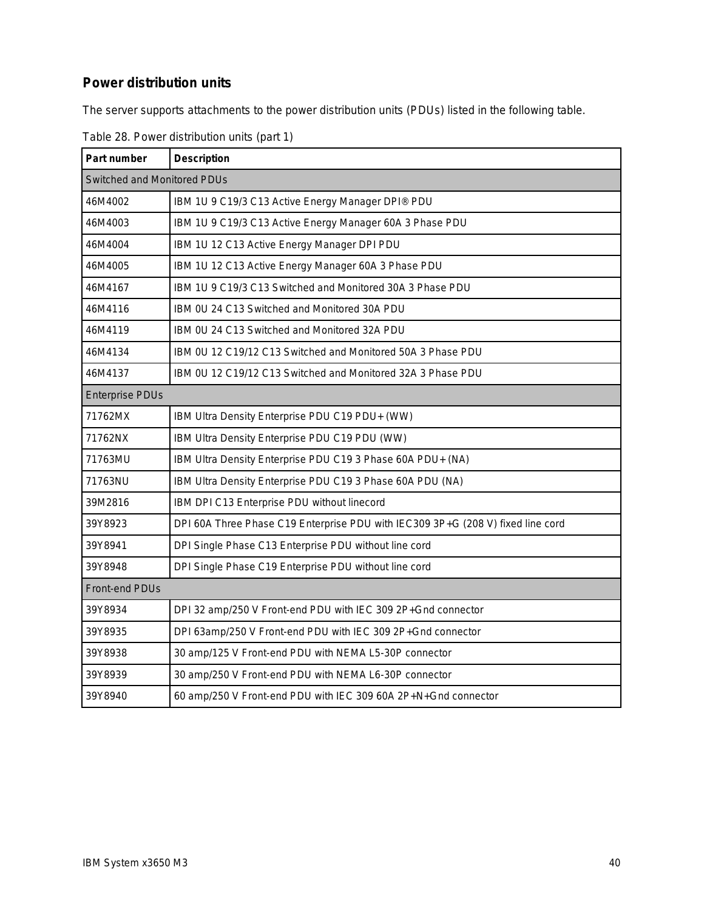# **Power distribution units**

The server supports attachments to the power distribution units (PDUs) listed in the following table.

| Part number                 | <b>Description</b>                                                              |
|-----------------------------|---------------------------------------------------------------------------------|
| Switched and Monitored PDUs |                                                                                 |
| 46M4002                     | IBM 1U 9 C19/3 C13 Active Energy Manager DPI® PDU                               |
| 46M4003                     | IBM 1U 9 C19/3 C13 Active Energy Manager 60A 3 Phase PDU                        |
| 46M4004                     | IBM 1U 12 C13 Active Energy Manager DPI PDU                                     |
| 46M4005                     | IBM 1U 12 C13 Active Energy Manager 60A 3 Phase PDU                             |
| 46M4167                     | IBM 1U 9 C19/3 C13 Switched and Monitored 30A 3 Phase PDU                       |
| 46M4116                     | IBM 0U 24 C13 Switched and Monitored 30A PDU                                    |
| 46M4119                     | IBM 0U 24 C13 Switched and Monitored 32A PDU                                    |
| 46M4134                     | IBM 0U 12 C19/12 C13 Switched and Monitored 50A 3 Phase PDU                     |
| 46M4137                     | IBM 0U 12 C19/12 C13 Switched and Monitored 32A 3 Phase PDU                     |
| <b>Enterprise PDUs</b>      |                                                                                 |
| 71762MX                     | IBM Ultra Density Enterprise PDU C19 PDU+ (WW)                                  |
| 71762NX                     | IBM Ultra Density Enterprise PDU C19 PDU (WW)                                   |
| 71763MU                     | IBM Ultra Density Enterprise PDU C19 3 Phase 60A PDU+ (NA)                      |
| 71763NU                     | IBM Ultra Density Enterprise PDU C19 3 Phase 60A PDU (NA)                       |
| 39M2816                     | IBM DPI C13 Enterprise PDU without linecord                                     |
| 39Y8923                     | DPI 60A Three Phase C19 Enterprise PDU with IEC309 3P+G (208 V) fixed line cord |
| 39Y8941                     | DPI Single Phase C13 Enterprise PDU without line cord                           |
| 39Y8948                     | DPI Single Phase C19 Enterprise PDU without line cord                           |
| Front-end PDUs              |                                                                                 |
| 39Y8934                     | DPI 32 amp/250 V Front-end PDU with IEC 309 2P+Gnd connector                    |
| 39Y8935                     | DPI 63amp/250 V Front-end PDU with IEC 309 2P+Gnd connector                     |
| 39Y8938                     | 30 amp/125 V Front-end PDU with NEMA L5-30P connector                           |
| 39Y8939                     | 30 amp/250 V Front-end PDU with NEMA L6-30P connector                           |
| 39Y8940                     | 60 amp/250 V Front-end PDU with IEC 309 60A 2P+N+Gnd connector                  |

Table 28. Power distribution units (part 1)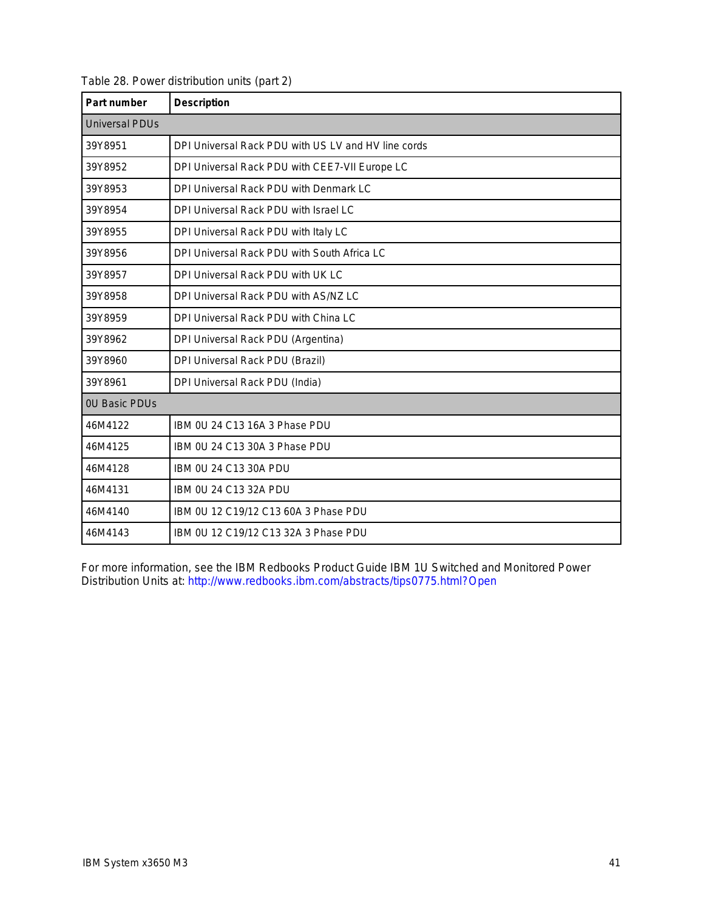| Part number           | <b>Description</b>                                  |
|-----------------------|-----------------------------------------------------|
| <b>Universal PDUs</b> |                                                     |
| 39Y8951               | DPI Universal Rack PDU with US LV and HV line cords |
| 39Y8952               | DPI Universal Rack PDU with CEE7-VII Europe LC      |
| 39Y8953               | DPI Universal Rack PDU with Denmark LC              |
| 39Y8954               | DPI Universal Rack PDU with Israel LC               |
| 39Y8955               | DPI Universal Rack PDU with Italy LC                |
| 39Y8956               | DPI Universal Rack PDU with South Africa LC         |
| 39Y8957               | DPI Universal Rack PDU with UK LC                   |
| 39Y8958               | DPI Universal Rack PDU with AS/NZ LC                |
| 39Y8959               | DPI Universal Rack PDU with China LC                |
| 39Y8962               | DPI Universal Rack PDU (Argentina)                  |
| 39Y8960               | DPI Universal Rack PDU (Brazil)                     |
| 39Y8961               | DPI Universal Rack PDU (India)                      |
| <b>OU Basic PDUs</b>  |                                                     |
| 46M4122               | IBM 0U 24 C13 16A 3 Phase PDU                       |
| 46M4125               | IBM 0U 24 C13 30A 3 Phase PDU                       |
| 46M4128               | IBM 0U 24 C13 30A PDU                               |
| 46M4131               | IBM 0U 24 C13 32A PDU                               |
| 46M4140               | IBM 0U 12 C19/12 C13 60A 3 Phase PDU                |
| 46M4143               | IBM 0U 12 C19/12 C13 32A 3 Phase PDU                |

Table 28. Power distribution units (part 2)

For more information, see the IBM Redbooks Product Guide *IBM 1U Switched and Monitored Power Distribution Units* at: <http://www.redbooks.ibm.com/abstracts/tips0775.html?Open>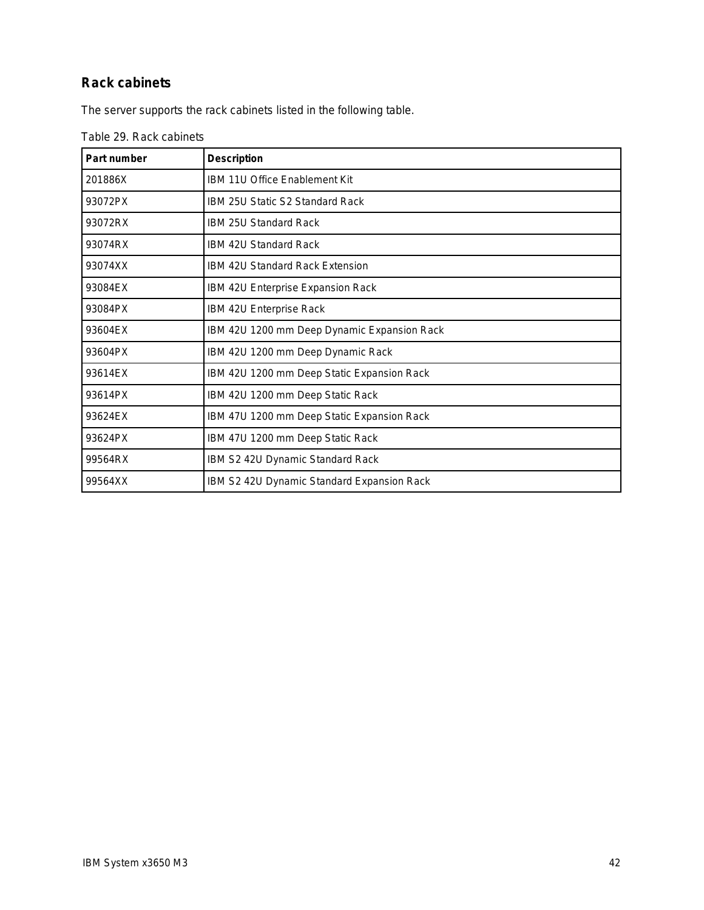# **Rack cabinets**

The server supports the rack cabinets listed in the following table.

| Part number | <b>Description</b>                          |
|-------------|---------------------------------------------|
| 201886X     | IBM 11U Office Enablement Kit               |
| 93072PX     | IBM 25U Static S2 Standard Rack             |
| 93072RX     | <b>IBM 25U Standard Rack</b>                |
| 93074RX     | <b>IBM 42U Standard Rack</b>                |
| 93074XX     | <b>IBM 42U Standard Rack Extension</b>      |
| 93084EX     | IBM 42U Enterprise Expansion Rack           |
| 93084PX     | IBM 42U Enterprise Rack                     |
| 93604EX     | IBM 42U 1200 mm Deep Dynamic Expansion Rack |
| 93604PX     | IBM 42U 1200 mm Deep Dynamic Rack           |
| 93614EX     | IBM 42U 1200 mm Deep Static Expansion Rack  |
| 93614PX     | IBM 42U 1200 mm Deep Static Rack            |
| 93624EX     | IBM 47U 1200 mm Deep Static Expansion Rack  |
| 93624PX     | IBM 47U 1200 mm Deep Static Rack            |
| 99564RX     | IBM S2 42U Dynamic Standard Rack            |
| 99564XX     | IBM S2 42U Dynamic Standard Expansion Rack  |

Table 29. Rack cabinets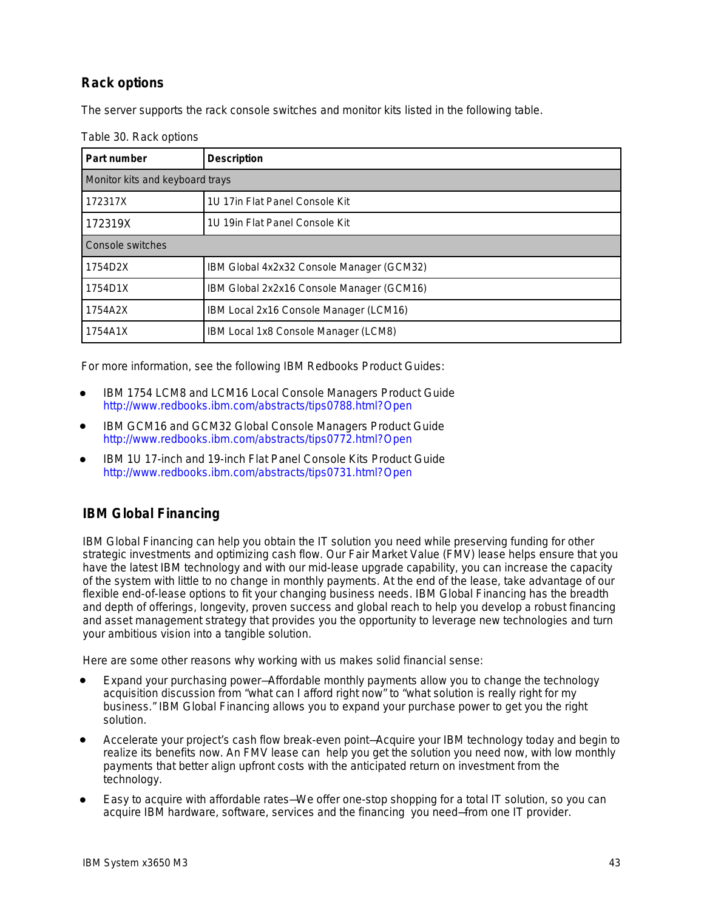## **Rack options**

The server supports the rack console switches and monitor kits listed in the following table.

| Part number                     | <b>Description</b>                        |  |
|---------------------------------|-------------------------------------------|--|
| Monitor kits and keyboard trays |                                           |  |
| 172317X                         | 1U 17in Flat Panel Console Kit            |  |
| 172319X                         | 1U 19in Flat Panel Console Kit            |  |
| Console switches                |                                           |  |
| 1754D2X                         | IBM Global 4x2x32 Console Manager (GCM32) |  |
| 1754D1X                         | IBM Global 2x2x16 Console Manager (GCM16) |  |
| 1754A2X                         | IBM Local 2x16 Console Manager (LCM16)    |  |
| 1754A1X                         | IBM Local 1x8 Console Manager (LCM8)      |  |

Table 30. Rack options

For more information, see the following IBM Redbooks Product Guides:

- *IBM 1754 LCM8 and LCM16 Local Console Managers* Product Guide <http://www.redbooks.ibm.com/abstracts/tips0788.html?Open>
- *IBM GCM16 and GCM32 Global Console Managers* Product Guide <http://www.redbooks.ibm.com/abstracts/tips0772.html?Open>
- *IBM 1U 17-inch and 19-inch Flat Panel Console Kits* Product Guide <http://www.redbooks.ibm.com/abstracts/tips0731.html?Open>

## **IBM Global Financing**

IBM Global Financing can help you obtain the IT solution you need while preserving funding for other strategic investments and optimizing cash flow. Our Fair Market Value (FMV) lease helps ensure that you have the latest IBM technology and with our mid-lease upgrade capability, you can increase the capacity of the system with little to no change in monthly payments. At the end of the lease, take advantage of our flexible end-of-lease options to fit your changing business needs. IBM Global Financing has the breadth and depth of offerings, longevity, proven success and global reach to help you develop a robust financing and asset management strategy that provides you the opportunity to leverage new technologies and turn your ambitious vision into a tangible solution.

Here are some other reasons why working with us makes solid financial sense:

- Expand your purchasing power—Affordable monthly payments allow you to change the technology acquisition discussion from "what can I afford right now" to "what solution is really right for my business." IBM Global Financing allows you to expand your purchase power to get you the right solution.
- Accelerate your project's cash flow break-even point—Acquire your IBM technology today and begin to realize its benefits now. An FMV lease can help you get the solution you need now, with low monthly payments that better align upfront costs with the anticipated return on investment from the technology.
- Easy to acquire with affordable rates—We offer one-stop shopping for a total IT solution, so you can acquire IBM hardware, software, services and the financing you need—from one IT provider.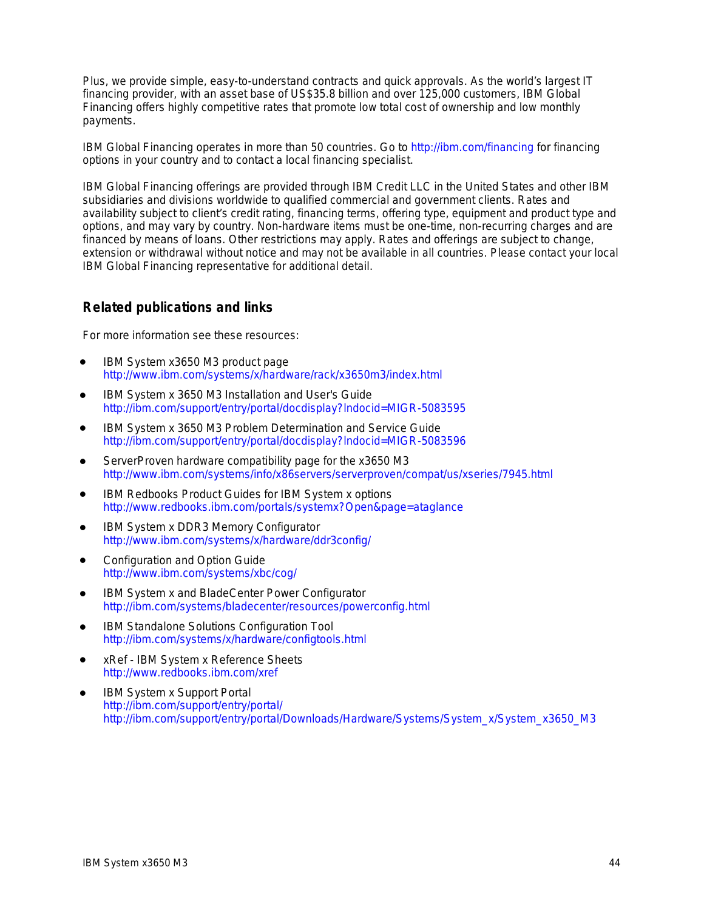Plus, we provide simple, easy-to-understand contracts and quick approvals. As the world's largest IT financing provider, with an asset base of US\$35.8 billion and over 125,000 customers, IBM Global Financing offers highly competitive rates that promote low total cost of ownership and low monthly payments.

IBM Global Financing operates in more than 50 countries. Go to <http://ibm.com/financing> for financing options in your country and to contact a local financing specialist.

IBM Global Financing offerings are provided through IBM Credit LLC in the United States and other IBM subsidiaries and divisions worldwide to qualified commercial and government clients. Rates and availability subject to client's credit rating, financing terms, offering type, equipment and product type and options, and may vary by country. Non-hardware items must be one-time, non-recurring charges and are financed by means of loans. Other restrictions may apply. Rates and offerings are subject to change, extension or withdrawal without notice and may not be available in all countries. Please contact your local IBM Global Financing representative for additional detail.

#### **Related publications and links**

For more information see these resources:

- IBM System x3650 M3 product page <http://www.ibm.com/systems/x/hardware/rack/x3650m3/index.html>
- IBM System x 3650 M3 Installation and User's Guide <http://ibm.com/support/entry/portal/docdisplay?lndocid=MIGR-5083595>
- IBM System x 3650 M3 Problem Determination and Service Guide <http://ibm.com/support/entry/portal/docdisplay?lndocid=MIGR-5083596>
- ServerProven hardware compatibility page for the x3650 M3 <http://www.ibm.com/systems/info/x86servers/serverproven/compat/us/xseries/7945.html>
- IBM Redbooks Product Guides for IBM System x options <http://www.redbooks.ibm.com/portals/systemx?Open&page=ataglance>
- IBM System x DDR3 Memory Configurator <http://www.ibm.com/systems/x/hardware/ddr3config/>
- Configuration and Option Guide <http://www.ibm.com/systems/xbc/cog/>
- IBM System x and BladeCenter Power Configurator <http://ibm.com/systems/bladecenter/resources/powerconfig.html>
- IBM Standalone Solutions Configuration Tool <http://ibm.com/systems/x/hardware/configtools.html>
- xRef IBM System x Reference Sheets <http://www.redbooks.ibm.com/xref>
- IBM System x Support Portal <http://ibm.com/support/entry/portal/> [http://ibm.com/support/entry/portal/Downloads/Hardware/Systems/System\\_x/System\\_x3650\\_M3](http://ibm.com/support/entry/portal/Downloads/Hardware/Systems/System_x/System_x3650_M3)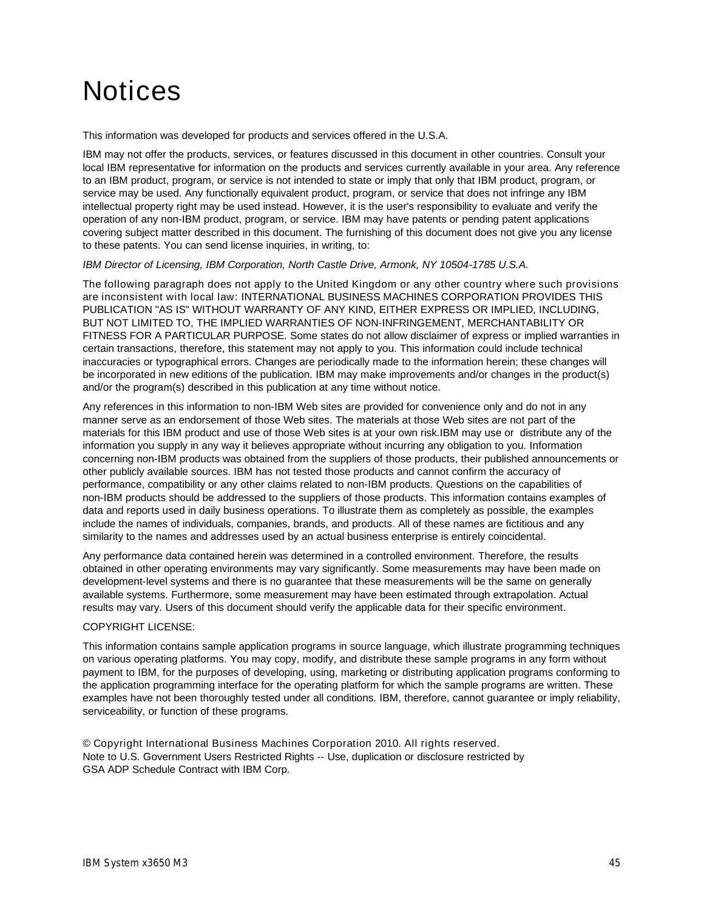# **Notices**

**This information was developed for products and services offered in the U.S.A.**

**IBM may not offer the products, services, or features discussed in this document in other countries. Consult your local IBM representative for information on the products and services currently available in your area. Any reference to an IBM product, program, or service is not intended to state or imply that only that IBM product, program, or service may be used. Any functionally equivalent product, program, or service that does not infringe any IBM intellectual property right may be used instead. However, it is the user's responsibility to evaluate and verify the operation of any non-IBM product, program, or service. IBM may have patents or pending patent applications covering subject matter described in this document. The furnishing of this document does not give you any license to these patents. You can send license inquiries, in writing, to:**

*IBM Director of Licensing, IBM Corporation, North Castle Drive, Armonk, NY 10504-1785 U.S.A.*

**The following paragraph does not apply to the United Kingdom or any other country where such provisions are inconsistent with local law: INTERNATIONAL BUSINESS MACHINES CORPORATION PROVIDES THIS PUBLICATION "AS IS" WITHOUT WARRANTY OF ANY KIND, EITHER EXPRESS OR IMPLIED, INCLUDING, BUT NOT LIMITED TO, THE IMPLIED WARRANTIES OF NON-INFRINGEMENT, MERCHANTABILITY OR FITNESS FOR A PARTICULAR PURPOSE. Some states do not allow disclaimer of express or implied warranties in certain transactions, therefore, this statement may not apply to you. This information could include technical inaccuracies or typographical errors. Changes are periodically made to the information herein; these changes will be incorporated in new editions of the publication. IBM may make improvements and/or changes in the product(s) and/or the program(s) described in this publication at any time without notice.**

**Any references in this information to non-IBM Web sites are provided for convenience only and do not in any manner serve as an endorsement of those Web sites. The materials at those Web sites are not part of the materials for this IBM product and use of those Web sites is at your own risk.IBM may use or distribute any of the information you supply in any way it believes appropriate without incurring any obligation to you. Information concerning non-IBM products was obtained from the suppliers of those products, their published announcements or other publicly available sources. IBM has not tested those products and cannot confirm the accuracy of performance, compatibility or any other claims related to non-IBM products. Questions on the capabilities of non-IBM products should be addressed to the suppliers of those products. This information contains examples of data and reports used in daily business operations. To illustrate them as completely as possible, the examples include the names of individuals, companies, brands, and products. All of these names are fictitious and any similarity to the names and addresses used by an actual business enterprise is entirely coincidental.**

**Any performance data contained herein was determined in a controlled environment. Therefore, the results obtained in other operating environments may vary significantly. Some measurements may have been made on development-level systems and there is no guarantee that these measurements will be the same on generally available systems. Furthermore, some measurement may have been estimated through extrapolation. Actual results may vary. Users of this document should verify the applicable data for their specific environment.**

#### **COPYRIGHT LICENSE:**

**This information contains sample application programs in source language, which illustrate programming techniques on various operating platforms. You may copy, modify, and distribute these sample programs in any form without payment to IBM, for the purposes of developing, using, marketing or distributing application programs conforming to the application programming interface for the operating platform for which the sample programs are written. These examples have not been thoroughly tested under all conditions. IBM, therefore, cannot guarantee or imply reliability, serviceability, or function of these programs.**

#### **© Copyright International Business Machines Corporation 2010. All rights reserved.**

**Note to U.S. Government Users Restricted Rights -- Use, duplication or disclosure restricted by GSA ADP Schedule Contract with IBM Corp.**